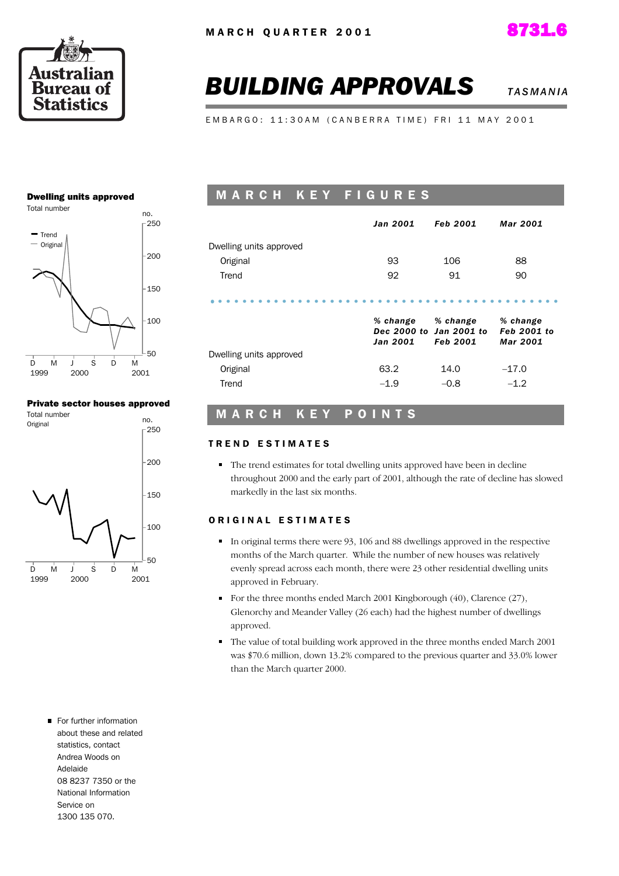



# **BUILDING APPROVALS** *TASMANIA***</del>**

E M B A R G O : 11:30 A M ( C A N B E R R A T I M E ) F R I 11 M A Y 2001

#### Dwelling units approved



#### Private sector houses approved



### M A R C H K E Y F I G U R E S

|                         | Jan 2001             | <b>Feb 2001</b>                                        | <b>Mar 2001</b>                                   |
|-------------------------|----------------------|--------------------------------------------------------|---------------------------------------------------|
| Dwelling units approved |                      |                                                        |                                                   |
| Original                | 93                   | 106                                                    | 88                                                |
| Trend                   | 92                   | 91                                                     | 90                                                |
|                         | % change<br>Jan 2001 | % change<br>Dec 2000 to Jan 2001 to<br><b>Feb 2001</b> | % change<br><b>Feb 2001 to</b><br><b>Mar 2001</b> |
| Dwelling units approved |                      |                                                        |                                                   |
| Original                | 63.2                 | 14.0                                                   | $-17.0$                                           |
| Trend                   | $-1.9$               | $-0.8$                                                 | $-1.2$                                            |

### M A R C H K E Y P O I N T S

#### TREND ESTIMATES

• The trend estimates for total dwelling units approved have been in decline throughout 2000 and the early part of 2001, although the rate of decline has slowed markedly in the last six months.

#### ORIGINAL ESTIMATES

- In original terms there were 93, 106 and 88 dwellings approved in the respective months of the March quarter. While the number of new houses was relatively evenly spread across each month, there were 23 other residential dwelling units approved in February.
- For the three months ended March 2001 Kingborough  $(40)$ , Clarence  $(27)$ , Glenorchy and Meander Valley (26 each) had the highest number of dwellings approved.
- The value of total building work approved in the three months ended March 2001 was \$70.6 million, down 13.2% compared to the previous quarter and 33.0% lower than the March quarter 2000.
- For further information about these and related statistics, contact Andrea Woods on Adelaide 08 8237 7350 or the National Information Service on 1300 135 070.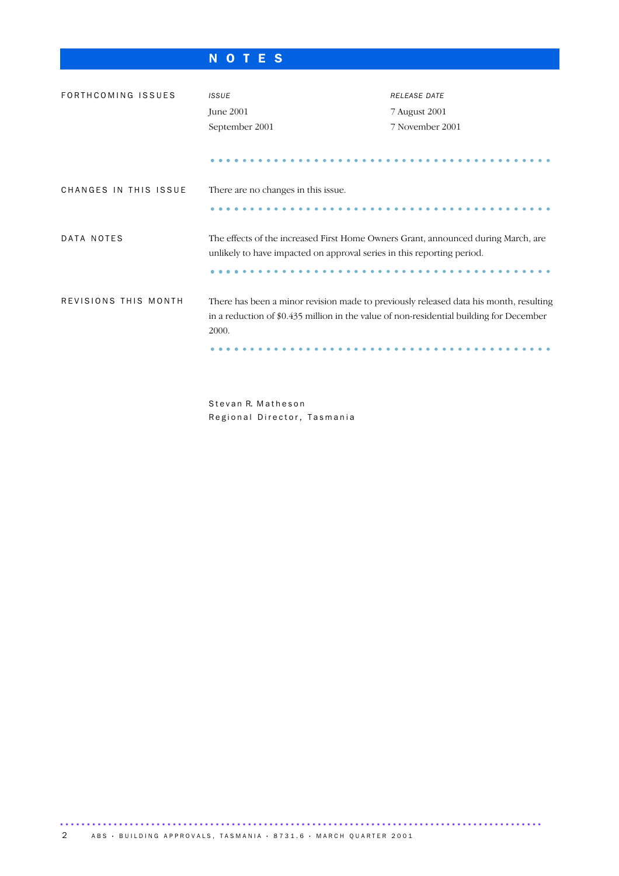### N O T E S

| FORTHCOMING ISSUES    | <b>ISSUE</b>                                                                                                                                                                              | <b>RELEASE DATE</b> |
|-----------------------|-------------------------------------------------------------------------------------------------------------------------------------------------------------------------------------------|---------------------|
|                       | June 2001                                                                                                                                                                                 | 7 August 2001       |
|                       | September 2001                                                                                                                                                                            | 7 November 2001     |
|                       |                                                                                                                                                                                           |                     |
| CHANGES IN THIS ISSUE | There are no changes in this issue.                                                                                                                                                       |                     |
|                       |                                                                                                                                                                                           |                     |
| DATA NOTES            | The effects of the increased First Home Owners Grant, announced during March, are<br>unlikely to have impacted on approval series in this reporting period.                               |                     |
|                       |                                                                                                                                                                                           |                     |
| REVISIONS THIS MONTH  | There has been a minor revision made to previously released data his month, resulting<br>in a reduction of $0.435$ million in the value of non-residential building for December<br>2000. |                     |
|                       |                                                                                                                                                                                           |                     |

Stevan R. Matheson Regional Director, Tasmania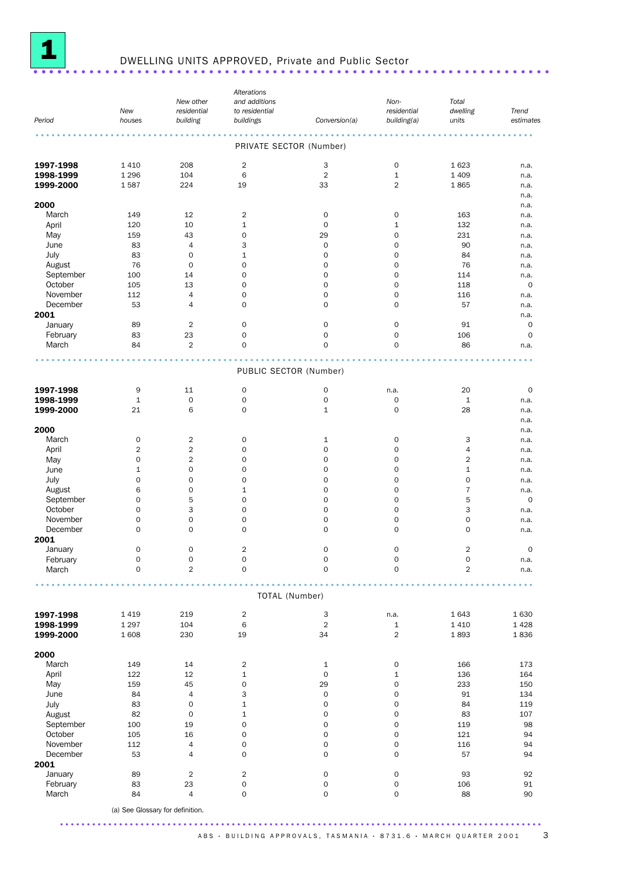

# <sup>1</sup> DWELLING UNITS APPROVED, Private and Public Sector ................................................................. ....

|           |             |                                  | Alterations             |                |                     |                |             |
|-----------|-------------|----------------------------------|-------------------------|----------------|---------------------|----------------|-------------|
|           |             | New other                        | and additions           |                | Non-                | Total          |             |
|           | New         | residential                      | to residential          |                | residential         | dwelling       | Trend       |
| Period    | houses      | building                         | buildings               | Conversion(a)  | building(a)         | units          | estimates   |
|           |             |                                  | PRIVATE SECTOR (Number) |                |                     |                |             |
|           |             |                                  |                         |                |                     |                |             |
| 1997-1998 | 1 4 1 0     | 208                              | $\overline{2}$          | 3              | 0                   | 1623           | n.a.        |
| 1998-1999 | 1 2 9 6     | 104                              | 6                       | $\overline{2}$ | $1\,$               | 1 4 0 9        | n.a.        |
| 1999-2000 | 1587        | 224                              | 19                      | 33             | 2                   | 1865           | n.a.        |
|           |             |                                  |                         |                |                     |                | n.a.        |
| 2000      |             |                                  |                         |                |                     |                | n.a.        |
| March     | 149         | 12                               | $\overline{2}$          | 0              | 0                   | 163            | n.a.        |
| April     | 120         | 10                               | $\mathbf{1}$            | $\mathbf 0$    | $\mathbf 1$         | 132            | n.a.        |
| May       | 159         | 43                               | 0                       | 29             | $\mathbf 0$         | 231            | n.a.        |
| June      | 83          | 4                                | 3                       | $\mathbf 0$    | 0                   | 90             | n.a.        |
| July      | 83          | 0                                | $\mathbf{1}$            | $\mathbf 0$    | 0                   | 84             | n.a.        |
| August    | 76          | $\mathbf 0$                      | 0                       | 0              | $\mathbf 0$         | 76             | n.a.        |
| September | 100         | 14                               | 0                       | $\mathbf 0$    | $\mathbf 0$         | 114            | n.a.        |
| October   | 105         | 13                               | 0                       | 0              | $\mathbf 0$         | 118            | $\mathbf 0$ |
| November  | 112         | 4                                | 0                       | $\mathbf 0$    | $\mathbf 0$         | 116            | n.a.        |
| December  | 53          | 4                                | 0                       | $\mathbf 0$    | 0                   | 57             | n.a.        |
| 2001      |             |                                  |                         |                |                     |                | n.a.        |
| January   | 89          | $\overline{2}$                   | 0                       | 0              | $\mathbf 0$         | 91             | 0           |
|           |             |                                  |                         |                |                     |                |             |
| February  | 83          | 23                               | 0                       | 0              | $\mathbf 0$         | 106            | $\mathbf 0$ |
| March     | 84          | $\overline{2}$                   | $\mathbf 0$             | $\mathbf 0$    | 0                   | 86             | n.a.        |
|           |             |                                  | PUBLIC SECTOR (Number)  |                |                     |                |             |
|           |             |                                  |                         |                |                     |                |             |
| 1997-1998 | 9           | 11                               | $\mathsf O$             | 0              | n.a.                | 20             | 0           |
| 1998-1999 | $\mathbf 1$ | $\mathbf 0$                      | 0                       | 0              | $\mathsf{O}\xspace$ | 1              | n.a.        |
| 1999-2000 | 21          | 6                                | 0                       | $1\,$          | $\mathbf 0$         | 28             | n.a.        |
|           |             |                                  |                         |                |                     |                | n.a.        |
| 2000      |             |                                  |                         |                |                     |                | n.a.        |
| March     | 0           | $\overline{2}$                   | 0                       | 1              | 0                   | 3              | n.a.        |
| April     | 2           | $\overline{c}$                   | 0                       | $\mathbf 0$    | $\mathbf 0$         | 4              | n.a.        |
| May       | 0           | 2                                | 0                       | 0              | $\mathbf 0$         | $\overline{2}$ | n.a.        |
| June      | $\mathbf 1$ | 0                                | 0                       | $\mathbf 0$    | $\mathbf 0$         | $\mathbf 1$    | n.a.        |
| July      | 0           | 0                                | 0                       | $\mathbf 0$    | $\mathbf 0$         | $\mathbf 0$    | n.a.        |
| August    | 6           | 0                                | $\mathbf{1}$            | 0              | $\mathbf 0$         | $\overline{7}$ | n.a.        |
| September | 0           | 5                                | 0                       | $\mathbf 0$    | $\mathbf 0$         | 5              | 0           |
| October   | 0           | 3                                | 0                       | 0              | $\mathbf 0$         | 3              | n.a.        |
| November  | 0           | 0                                | 0                       | $\mathbf 0$    | $\mathbf 0$         | $\mathbf 0$    | n.a.        |
| December  | 0           | 0                                | 0                       | $\mathbf 0$    | 0                   | $\mathbf 0$    | n.a.        |
| 2001      |             |                                  |                         |                |                     |                |             |
| January   | $\mathbf 0$ | $\mathbf 0$                      | $\overline{2}$          | $\mathbf 0$    | $\mathbf 0$         | $\overline{2}$ | 0           |
| February  | 0           | 0                                | 0                       | 0              | 0                   | 0              | n.a.        |
| March     | 0           | $\overline{2}$                   | $\mathbf 0$             | $\mathbf 0$    | $\mathbf 0$         | $\overline{2}$ | n.a.        |
|           |             |                                  |                         |                |                     |                |             |
|           |             |                                  | TOTAL (Number)          |                |                     |                |             |
| 1997-1998 | 1419        | 219                              | $\overline{2}$          | 3              | n.a.                | 1643           | 1630        |
| 1998-1999 | 1 2 9 7     | 104                              | 6                       | $\overline{2}$ | $\mathbf{1}$        | 1410           | 1 4 2 8     |
| 1999-2000 | 1 608       | 230                              | 19                      | 34             | $\overline{2}$      | 1893           | 1836        |
|           |             |                                  |                         |                |                     |                |             |
| 2000      |             |                                  |                         |                |                     |                |             |
| March     | 149         | 14                               | $\overline{2}$          | 1              | $\mathsf{O}\xspace$ | 166            | 173         |
| April     | 122         | 12                               | $\mathbf{1}$            | $\mathbf 0$    | $\mathbf 1$         | 136            | 164         |
| May       | 159         | 45                               | 0                       | 29             | $\mathbf 0$         | 233            | 150         |
| June      | 84          | 4                                | 3                       | $\mathbf 0$    | 0                   | 91             | 134         |
| July      | 83          | $\mathsf{O}\xspace$              | $\mathbf{1}$            | $\mathbf 0$    | 0                   | 84             | 119         |
| August    | 82          | $\mathbf 0$                      | $\mathbf{1}$            | $\mathbf 0$    | $\mathsf{O}\xspace$ | 83             | 107         |
| September | 100         | 19                               | 0                       | $\mathbf 0$    | $\mathsf{O}\xspace$ | 119            | 98          |
| October   | 105         | 16                               | 0                       | $\mathbf 0$    | $\mathbf 0$         | 121            | 94          |
| November  | 112         | 4                                | 0                       | 0              | $\mathsf{O}\xspace$ | 116            | 94          |
| December  | 53          | 4                                | 0                       | $\mathbf 0$    | 0                   | 57             | 94          |
| 2001      |             |                                  |                         |                |                     |                |             |
| January   | 89          | $\overline{2}$                   | $\overline{c}$          | $\mathsf{O}$   | $\mathsf{O}\xspace$ | 93             | 92          |
| February  | 83          | 23                               | 0                       | $\mathsf{O}$   | $\mathsf{O}\xspace$ | 106            | 91          |
| March     | 84          | 4                                | 0                       | $\mathsf{O}$   | $\mathsf{O}\xspace$ | 88             | 90          |
|           |             | (a) See Glossary for definition. |                         |                |                     |                |             |
|           |             |                                  |                         |                |                     |                |             |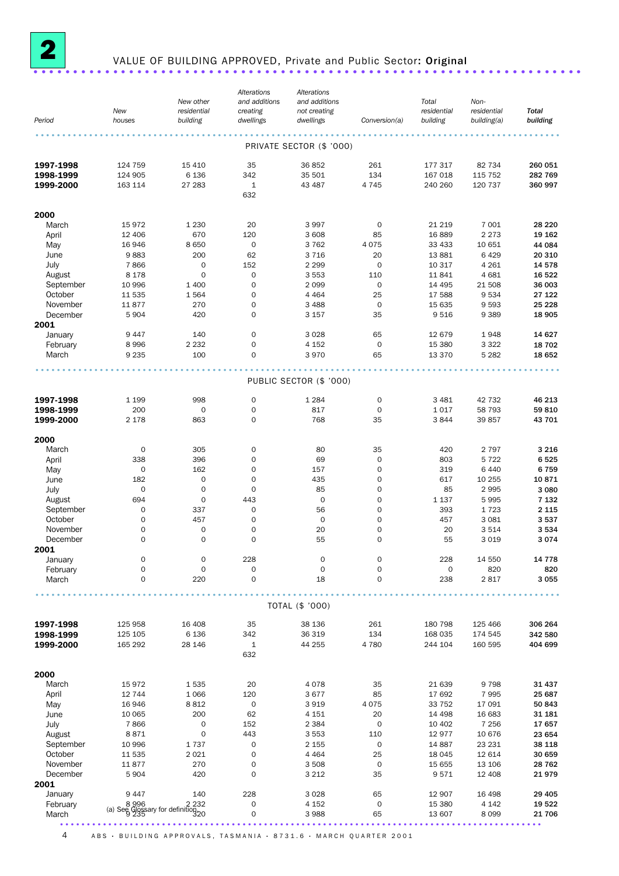

### <sup>2</sup> VALUE OF BUILDING APPROVED, Private and Public Sector: Original .....................................................................

|                      | New                                                 | New other<br>residential                   | Alterations<br>and additions<br>creating | Alterations<br>and additions<br>not creating |                          | Total<br>residential | Non-<br>residential | <b>Total</b>     |
|----------------------|-----------------------------------------------------|--------------------------------------------|------------------------------------------|----------------------------------------------|--------------------------|----------------------|---------------------|------------------|
| Period               | houses                                              | building                                   | dwellings                                | dwellings                                    | Conversion(a)            | building             | building(a)         | building         |
|                      |                                                     |                                            |                                          |                                              |                          |                      |                     |                  |
|                      |                                                     |                                            |                                          | PRIVATE SECTOR (\$ '000)                     |                          |                      |                     |                  |
| 1997-1998            | 124 759                                             | 15 4 10                                    | 35                                       | 36 852                                       | 261                      | 177 317              | 82 734              | 260 051          |
| 1998-1999            | 124 905                                             | 6 1 3 6                                    | 342                                      | 35 501                                       | 134                      | 167 018              | 115 752             | 282 769          |
| 1999-2000            | 163 114                                             | 27 283                                     | $\mathbf{1}$<br>632                      | 43 487                                       | 4 7 4 5                  | 240 260              | 120 737             | 360 997          |
|                      |                                                     |                                            |                                          |                                              |                          |                      |                     |                  |
| 2000                 |                                                     |                                            |                                          |                                              |                          |                      |                     |                  |
| March                | 15972                                               | 1 2 3 0                                    | 20                                       | 3 9 9 7                                      | 0                        | 21 219               | 7 0 0 1             | 28 2 20          |
| April                | 12 40 6                                             | 670                                        | 120                                      | 3 608                                        | 85                       | 16889                | 2 2 7 3             | 19 162           |
| May<br>June          | 16 946<br>9883                                      | 8 6 5 0<br>200                             | $\mathbf 0$<br>62                        | 3762<br>3716                                 | 4 0 7 5<br>20            | 33 4 33<br>13881     | 10 651<br>6429      | 44 084<br>20 310 |
| July                 | 7866                                                | $\mathbf 0$                                | 152                                      | 2 2 9 9                                      | $\mathbf 0$              | 10 317               | 4 2 6 1             | 14 578           |
| August               | 8 1 7 8                                             | $\mathbf 0$                                | $\mathbf 0$                              | 3 5 5 3                                      | 110                      | 11841                | 4 6 8 1             | 16 522           |
| September            | 10 996                                              | 1 400                                      | $\mathbf 0$                              | 2 0 9 9                                      | $\mathbf 0$              | 14 4 95              | 21 508              | 36 003           |
| October              | 11 535                                              | 1564                                       | $\mathbf 0$                              | 4 4 6 4                                      | 25                       | 17 588               | 9534                | 27 122           |
| November<br>December | 11877<br>5 9 0 4                                    | 270<br>420                                 | $\mathbf 0$<br>$\mathbf 0$               | 3 4 8 8<br>3 1 5 7                           | $\mathbf 0$<br>35        | 15 635<br>9516       | 9593<br>9 3 8 9     | 25 228<br>18 905 |
| 2001                 |                                                     |                                            |                                          |                                              |                          |                      |                     |                  |
| January              | 9447                                                | 140                                        | $\mathbf 0$                              | 3 0 28                                       | 65                       | 12 679               | 1948                | 14 627           |
| February             | 8996                                                | 2 2 3 2                                    | $\mathbf 0$                              | 4 1 5 2                                      | $\mathbf 0$              | 15 380               | 3 3 2 2             | 18 702           |
| March                | 9 2 3 5                                             | 100                                        | $\mathbf 0$                              | 3970                                         | 65                       | 13 3 70              | 5 2 8 2             | 18 652           |
|                      |                                                     |                                            |                                          |                                              |                          |                      |                     |                  |
|                      |                                                     |                                            |                                          | PUBLIC SECTOR (\$ '000)                      |                          |                      |                     |                  |
| 1997-1998            | 1 1 9 9                                             | 998                                        | $\mathbf 0$                              | 1 2 8 4                                      | 0                        | 3 4 8 1              | 42 732              | 46 213           |
| 1998-1999            | 200                                                 | $\mathsf{O}\xspace$                        | 0                                        | 817                                          | $\mathbf 0$              | 1017                 | 58 793              | 59 810           |
| 1999-2000            | 2 1 7 8                                             | 863                                        | $\mathbf 0$                              | 768                                          | 35                       | 3844                 | 39 857              | 43 701           |
|                      |                                                     |                                            |                                          |                                              |                          |                      |                     |                  |
| 2000<br>March        | 0                                                   | 305                                        | $\mathbf 0$                              | 80                                           | 35                       | 420                  | 2 7 9 7             | 3 2 1 6          |
| April                | 338                                                 | 396                                        | 0                                        | 69                                           | $\mathbf 0$              | 803                  | 5 7 2 2             | 6525             |
| May                  | $\mathbf 0$                                         | 162                                        | $\mathbf 0$                              | 157                                          | $\mathbf 0$              | 319                  | 6 4 4 0             | 6759             |
| June                 | 182                                                 | $\mathsf{O}\xspace$                        | $\mathbf 0$                              | 435                                          | $\mathbf 0$              | 617                  | 10 255              | 10871            |
| July                 | 0                                                   | $\mathbf 0$                                | $\mathbf 0$                              | 85                                           | 0                        | 85                   | 2995                | 3 0 8 0          |
| August               | 694<br>$\mathsf{O}\xspace$                          | $\mathsf{O}\xspace$<br>337                 | 443<br>0                                 | $\mathbf 0$<br>56                            | $\mathbf 0$<br>0         | 1 1 3 7<br>393       | 5995<br>1723        | 7 1 3 2          |
| September<br>October | $\mathbf 0$                                         | 457                                        | $\mathbf 0$                              | $\mathbf 0$                                  | $\mathbf 0$              | 457                  | 3 0 8 1             | 2 1 1 5<br>3537  |
| November             | $\mathbf 0$                                         | $\mathsf{O}\xspace$                        | $\mathbf 0$                              | 20                                           | 0                        | 20                   | 3514                | 3 5 3 4          |
| December             | $\mathbf 0$                                         | $\mathbf 0$                                | $\mathbf 0$                              | 55                                           | $\mathbf 0$              | 55                   | 3 0 1 9             | 3074             |
| 2001                 |                                                     |                                            |                                          |                                              |                          |                      |                     |                  |
| January              | 0<br>0                                              | $\mathsf{O}\xspace$<br>$\mathsf{O}\xspace$ | 228                                      | $\mathbf 0$                                  | $\mathsf{O}\xspace$<br>0 | 228<br>0             | 14 550              | 14 7 78          |
| February<br>March    | 0                                                   | 220                                        | $\mathbf 0$<br>$\mathbf 0$               | $\mathbf 0$<br>18                            | $\mathbf 0$              | 238                  | 820<br>2817         | 820<br>3 0 5 5   |
|                      |                                                     |                                            |                                          |                                              |                          |                      |                     |                  |
|                      |                                                     |                                            |                                          | TOTAL (\$ '000)                              |                          |                      |                     |                  |
| 1997-1998            | 125 958                                             | 16 40 8                                    | 35                                       | 38 136                                       | 261                      | 180 798              | 125 466             | 306 264          |
| 1998-1999            | 125 105                                             | 6 1 3 6                                    | 342                                      | 36 319                                       | 134                      | 168 035              | 174 545             | 342 580          |
| 1999-2000            | 165 292                                             | 28 146                                     | $\mathbf{1}$                             | 44 255                                       | 4 7 8 0                  | 244 104              | 160 595             | 404 699          |
|                      |                                                     |                                            | 632                                      |                                              |                          |                      |                     |                  |
| 2000                 |                                                     |                                            |                                          |                                              |                          |                      |                     |                  |
| March                | 15972                                               | 1535                                       | 20                                       | 4 0 7 8                                      | 35                       | 21 639               | 9798                | 31 437           |
| April                | 12 744                                              | 1 0 6 6                                    | 120                                      | 3 6 7 7                                      | 85                       | 17 692               | 7995                | 25 687           |
| May                  | 16946                                               | 8812                                       | 0                                        | 3919                                         | 4 0 7 5                  | 33 752               | 17 091              | 50 843           |
| June<br>July         | 10 065<br>7866                                      | 200<br>0                                   | 62<br>152                                | 4 151<br>2 3 8 4                             | 20<br>$\mathbf 0$        | 14 4 98<br>10 402    | 16 683<br>7 2 5 6   | 31 181<br>17657  |
| August               | 8871                                                | $\mathsf{O}\xspace$                        | 443                                      | 3 5 5 3                                      | 110                      | 12977                | 10 676              | 23 654           |
| September            | 10 996                                              | 1737                                       | $\mathbf 0$                              | 2 1 5 5                                      | 0                        | 14 887               | 23 231              | 38 118           |
| October              | 11 535                                              | 2 0 2 1                                    | 0                                        | 4 4 6 4                                      | 25                       | 18 0 45              | 12 614              | 30 659           |
| November             | 11877                                               | 270                                        | 0                                        | 3 5 0 8                                      | 0                        | 15 655               | 13 106              | 28 7 62          |
| December             | 5904                                                | 420                                        | $\mathbf 0$                              | 3 2 1 2                                      | 35                       | 9571                 | 12 408              | 21979            |
| 2001<br>January      | 9447                                                | 140                                        | 228                                      | 3028                                         | 65                       | 12 907               | 16 498              | 29 4 05          |
| February             |                                                     |                                            | 0                                        | 4 152                                        | $\mathbf 0$              | 15 380               | 4 1 4 2             | 19 522           |
| March                | 232 2<br>(a) See Glossary for definition<br>320 325 |                                            | 0                                        | 3988                                         | 65                       | 13 607               | 8 0 9 9             | 21 706           |
|                      |                                                     |                                            |                                          |                                              |                          |                      |                     |                  |

4 ABS · BUILDING APPROVALS, TASMANIA · 8731.6 · MARCH QUARTER 2001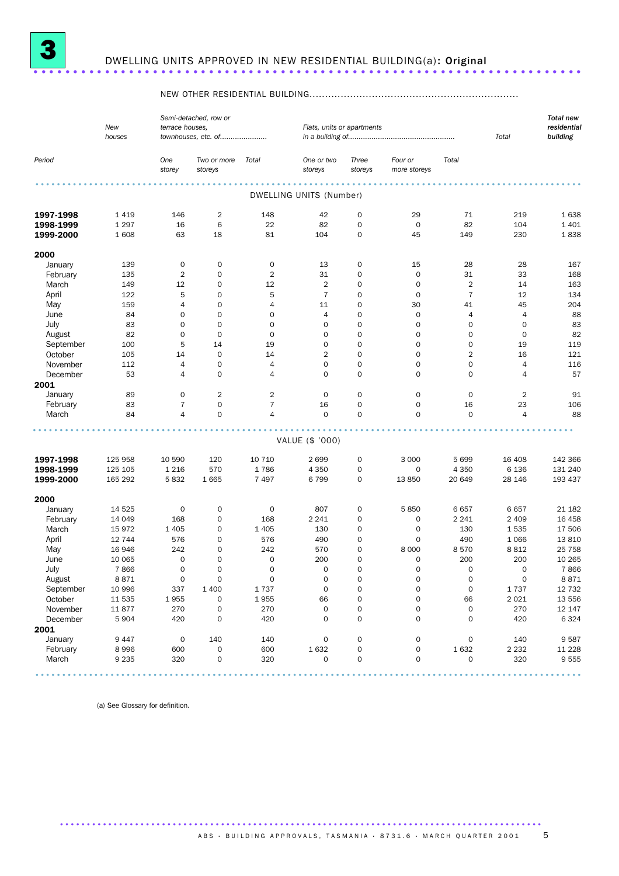

## <sup>3</sup> DWELLING UNITS APPROVED IN NEW RESIDENTIAL BUILDING(a): Original .....................................................................

### NEW OTHER RESIDENTIAL BUILDING...................................................................

|                     | New<br>houses   | terrace houses.     | Semi-detached, row or<br>townhouses, etc. of |                                  | Flats, units or apartments |                  | Total                        | <b>Total new</b><br>residential<br>building |                |                                                                                                                         |
|---------------------|-----------------|---------------------|----------------------------------------------|----------------------------------|----------------------------|------------------|------------------------------|---------------------------------------------|----------------|-------------------------------------------------------------------------------------------------------------------------|
| Period              |                 | One<br>storey       | Two or more<br>storeys                       | Total                            | One or two<br>storeys      | Three<br>storeys | Four or<br>more storeys      | Total                                       |                |                                                                                                                         |
|                     |                 |                     |                                              |                                  | DWELLING UNITS (Number)    |                  |                              |                                             |                |                                                                                                                         |
| 1997-1998           | 1419            | 146                 | $\overline{2}$                               | 148                              | 42                         | 0                | 29                           | 71                                          | 219            | 1638                                                                                                                    |
| 1998-1999           | 1 2 9 7         | 16                  | 6                                            | 22                               | 82                         | 0                | $\mathbf 0$                  | 82                                          | 104            | 1 4 0 1                                                                                                                 |
| 1999-2000           | 1608            | 63                  | 18                                           | 81                               | 104                        | 0                | 45                           | 149                                         | 230            | 1838                                                                                                                    |
| 2000                |                 |                     |                                              |                                  |                            |                  |                              |                                             |                |                                                                                                                         |
| January             | 139             | $\mathsf O$         | 0                                            | $\mathsf{O}\xspace$              | 13                         | 0                | 15                           | 28                                          | 28             | 167                                                                                                                     |
| February            | 135             | $\overline{2}$      | $\mathbf 0$                                  | $\overline{2}$                   | 31                         | 0                | $\mathbf 0$                  | 31                                          | 33             | 168                                                                                                                     |
| March               | 149             | 12                  | $\mathbf 0$                                  | 12                               | $\overline{2}$             | 0                | $\mathbf 0$                  | $\overline{2}$                              | 14             | 163                                                                                                                     |
| April               | 122             | 5                   | $\mathsf{O}$                                 | 5                                | $\overline{7}$             | 0                | 0                            | $\overline{7}$                              | 12             | 134                                                                                                                     |
| May                 | 159             | 4                   | $\mathsf{O}$                                 | $\overline{4}$                   | 11                         | 0                | 30                           | 41                                          | 45             | 204                                                                                                                     |
| June                | 84              | $\mathbf 0$         | $\mathbf 0$                                  | $\mathbf 0$                      | $\overline{4}$             | 0                | $\mathbf 0$                  | $\overline{4}$                              | $\overline{4}$ | 88                                                                                                                      |
| July                | 83              | 0                   | $\mathbf 0$                                  | $\mathbf 0$                      | $\mathbf 0$                | 0                | $\mathbf 0$                  | $\mathbf 0$                                 | $\mathbf 0$    | 83                                                                                                                      |
| August              | 82              | $\mathbf 0$         | $\mathbf 0$                                  | $\mathbf 0$                      | $\mathbf 0$                | 0                | 0                            | $\mathbf 0$                                 | $\mathbf 0$    | 82                                                                                                                      |
| September           | 100             | 5                   | 14                                           | 19                               | $\mathbf 0$                | 0                | 0                            | $\mathbf 0$                                 | 19             | 119                                                                                                                     |
| October             | 105             | 14                  | $\mathsf{O}$                                 | 14                               | $\overline{2}$             | 0                | $\mathbf 0$                  | $\overline{2}$                              | 16             | 121                                                                                                                     |
| November            | 112             | 4                   | 0                                            | $\overline{a}$                   | $\mathbf 0$                | 0                | 0                            | $\mathbf 0$                                 | $\overline{4}$ | 116                                                                                                                     |
| December            | 53              | 4                   | $\mathbf 0$                                  | $\overline{4}$                   | $\mathbf 0$                | 0                | 0                            | $\mathbf 0$                                 | 4              | 57                                                                                                                      |
|                     |                 |                     |                                              |                                  |                            |                  |                              |                                             |                |                                                                                                                         |
| 2001                |                 | $\mathbf 0$         | $\overline{2}$                               |                                  |                            | 0                | $\mathbf 0$                  | $\mathbf 0$                                 | $\overline{2}$ | 91                                                                                                                      |
| January             | 89              |                     |                                              | $\overline{2}$                   | 0                          |                  |                              |                                             |                |                                                                                                                         |
| February<br>March   | 83<br>84        | $\overline{7}$<br>4 | 0<br>$\mathbf 0$                             | $\overline{7}$<br>$\overline{4}$ | 16<br>$\mathbf 0$          | 0<br>0           | $\mathbf 0$<br>0             | 16<br>$\mathbf 0$                           | 23<br>4        | 106<br>88                                                                                                               |
|                     |                 |                     |                                              |                                  |                            |                  |                              |                                             |                |                                                                                                                         |
|                     |                 |                     |                                              |                                  | VALUE (\$ '000)            |                  |                              |                                             |                |                                                                                                                         |
| 1997-1998           | 125 958         | 10 590              | 120                                          | 10 710                           | 2699                       | 0                | 3 0 0 0                      | 5 6 9 9                                     | 16 408         | 142 366                                                                                                                 |
| 1998-1999           | 125 105         | 1 2 1 6             | 570                                          | 1786                             | 4 3 5 0                    | 0                | 0                            | 4 3 5 0                                     | 6 1 3 6        | 131 240                                                                                                                 |
| 1999-2000           | 165 292         | 5832                | 1665                                         | 7 4 9 7                          | 6799                       | 0                | 13850                        | 20 649                                      | 28 146         | 193 437                                                                                                                 |
| 2000                |                 |                     |                                              |                                  |                            |                  |                              |                                             |                |                                                                                                                         |
| January             | 14 5 25         | $\mathbf 0$         | 0                                            | $\mathsf{O}\xspace$              | 807                        | 0                | 5850                         | 6657                                        | 6657           | 21 182                                                                                                                  |
| February            | 14 049          | 168                 | 0                                            | 168                              | 2 2 4 1                    | 0                | 0                            | 2 2 4 1                                     | 2 4 0 9        | 16 45 8                                                                                                                 |
| March               | 15972           | 1 4 0 5             | 0                                            | 1 4 0 5                          | 130                        | 0                | 0                            | 130                                         | 1535           | 17 506                                                                                                                  |
| April               | 12 744          | 576                 | 0                                            | 576                              | 490                        | 0                | 0                            | 490                                         | 1 0 6 6        | 13810                                                                                                                   |
| May                 | 16 946          | 242                 | 0                                            | 242                              | 570                        | 0                | 8 0 0 0                      | 8570                                        | 8812           | 25 7 58                                                                                                                 |
| June                | 10 065          | $\mathbf 0$         | $\mathbf 0$                                  | $\mathbf 0$                      | 200                        | 0                | $\mathbf 0$                  | 200                                         | 200            | 10 265                                                                                                                  |
| July                | 7866            | $\mathbf 0$         | $\overline{0}$                               | $\mathsf{O}\xspace$              | $\mathbf 0$                | 0                | 0                            | $\mathbf 0$                                 | 0              | 7866                                                                                                                    |
| August              | 8871            | $\sigma$            | 0                                            | 0                                | 0                          | 0                | 0                            | 0                                           | $\circ$        | 8871                                                                                                                    |
| September           | 10 996          | 337                 | 1 400                                        | 1737                             | $\mathsf 0$                | 0                | $\mathsf{O}\xspace$          | $\mathsf{O}\xspace$                         | 1737           | 12 732                                                                                                                  |
| October             | 11 535          | 1955                | 0                                            | 1955                             | 66                         | 0                | $\mathsf{O}\xspace$          | 66                                          | 2 0 2 1        | 13 556                                                                                                                  |
| November            | 11877           | 270                 | 0                                            | 270                              | $\mathbf 0$                | 0                | $\mathsf{O}\xspace$          | $\mathsf{O}\xspace$                         | 270            | 12 147                                                                                                                  |
| December            | 5 9 0 4         | 420                 | 0                                            | 420                              | $\mathbf 0$                | 0                | $\mathbf 0$                  | $\mathbf 0$                                 | 420            | 6 3 2 4                                                                                                                 |
| 2001                |                 |                     |                                              |                                  |                            |                  |                              |                                             |                |                                                                                                                         |
|                     |                 |                     | 140                                          |                                  | $\mathbf 0$                | 0                |                              |                                             |                |                                                                                                                         |
| January<br>February | 9 4 4 7<br>8996 | $\mathbf 0$<br>600  | 0                                            | 140<br>600                       | 1632                       |                  | $\mathsf{O}$<br>$\mathsf{O}$ | $\mathsf{O}$<br>1632                        | 140<br>2 2 3 2 | 9587<br>11 2 28                                                                                                         |
| March               | 9 2 3 5         | 320                 | 0                                            | 320                              | $\mathbf 0$                | 0<br>0           | $\mathsf{O}\xspace$          | $\mathbf 0$                                 | 320            |                                                                                                                         |
|                     |                 |                     |                                              |                                  |                            |                  |                              |                                             |                | 9555<br>$\begin{array}{cccccccccccccc} \bullet & \bullet & \bullet & \bullet & \bullet & \bullet & \bullet \end{array}$ |

(a) See Glossary for definition.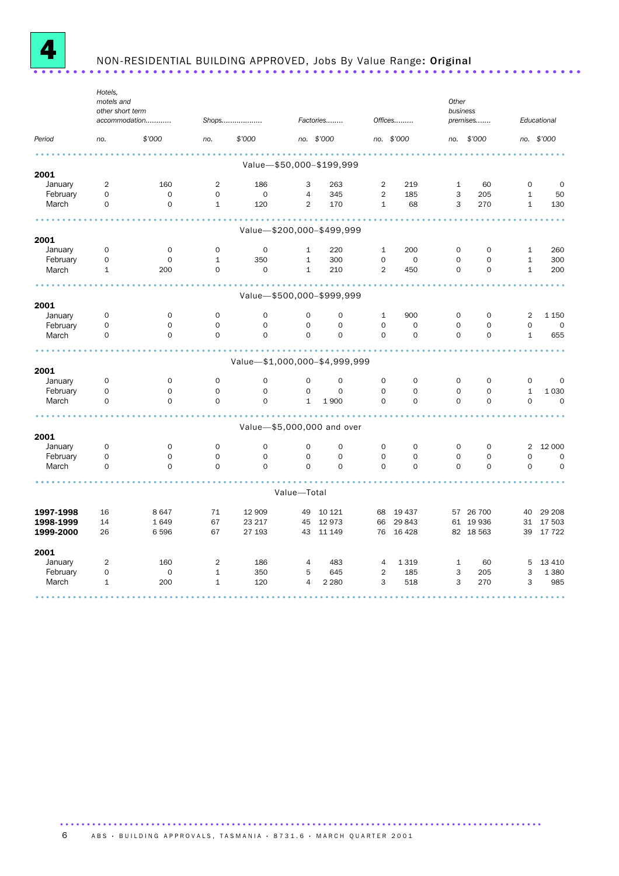

## NON-RESIDENTIAL BUILDING APPROVED, Jobs By Value Range: Original .....................................................................

|                     | Hotels,<br>motels and<br>other short term | accommodation              |                                    | Shops                              |                              | Factories                          |                             | Offices                    | Other<br>business                  | premises                |                              | Educational            |
|---------------------|-------------------------------------------|----------------------------|------------------------------------|------------------------------------|------------------------------|------------------------------------|-----------------------------|----------------------------|------------------------------------|-------------------------|------------------------------|------------------------|
| Period              | no.                                       | \$'000                     | no.                                | \$'000                             |                              | no. \$'000                         |                             | no. \$'000                 | no.                                | \$'000                  |                              | no. \$'000             |
|                     |                                           |                            |                                    |                                    |                              |                                    |                             |                            |                                    |                         |                              |                        |
|                     |                                           |                            |                                    |                                    |                              | Value-\$50,000-\$199,999           |                             |                            |                                    |                         |                              |                        |
| 2001<br>January     | $\overline{2}$                            | 160                        | $\overline{2}$                     | 186                                | 3                            | 263                                | 2                           | 219                        | $\mathbf{1}$                       | 60                      | $\mathsf{O}$                 | 0                      |
| February            | 0                                         | $\mathbf 0$                | $\mathsf{O}$                       | $\mathbf 0$                        | $\overline{4}$               | 345                                | $\overline{2}$              | 185                        | 3                                  | 205                     | $\mathbf{1}$                 | 50                     |
| March               | 0                                         | $\mathbf 0$                | $\mathbf{1}$                       | 120                                | $\overline{2}$               | 170                                | $\mathbf{1}$                | 68                         | 3                                  | 270                     | $\mathbf{1}$                 | 130                    |
|                     |                                           |                            |                                    |                                    |                              |                                    |                             |                            |                                    |                         |                              |                        |
|                     |                                           |                            |                                    |                                    |                              | Value-\$200,000-\$499,999          |                             |                            |                                    |                         |                              |                        |
| 2001                |                                           |                            |                                    |                                    |                              |                                    |                             |                            |                                    |                         |                              |                        |
| January             | 0<br>0                                    | $\mathbf 0$<br>$\mathbf 0$ | $\mathbf 0$<br>$\mathbf{1}$        | $\mathbf 0$<br>350                 | $\mathbf{1}$<br>$\mathbf{1}$ | 220<br>300                         | $\mathbf{1}$<br>$\mathbf 0$ | 200<br>$\mathbf 0$         | $\mathbf 0$<br>$\mathbf 0$         | $\Omega$<br>$\Omega$    | $\mathbf{1}$<br>$\mathbf{1}$ | 260<br>300             |
| February<br>March   | $\mathbf{1}$                              | 200                        | $\mathsf{O}$                       | $\mathbf 0$                        | $\mathbf{1}$                 | 210                                | $\overline{2}$              | 450                        | $\mathbf 0$                        | $\mathbf 0$             | $\mathbf{1}$                 | 200                    |
|                     |                                           |                            |                                    |                                    |                              |                                    |                             |                            |                                    |                         |                              |                        |
|                     |                                           |                            |                                    |                                    |                              | Value-\$500,000-\$999,999          |                             |                            |                                    |                         |                              |                        |
| 2001                |                                           |                            |                                    |                                    |                              |                                    |                             |                            |                                    |                         |                              |                        |
| January             | 0                                         | $\mathbf 0$                | $\mathbf 0$                        | $\mathbf 0$                        | $\mathbf 0$                  | $\mathbf 0$                        | $\mathbf{1}$                | 900                        | 0                                  | $\mathbf 0$             | 2                            | 1 1 5 0                |
| February            | 0                                         | $\mathbf 0$                | $\mathbf 0$                        | $\mathbf 0$                        | $\mathbf 0$                  | $\mathbf 0$                        | $\mathbf 0$                 | $\mathbf 0$                | $\mathbf 0$                        | $\mathbf 0$             | $\mathsf{O}\xspace$          | $\mathbf 0$            |
| March               | 0                                         | $\mathbf 0$                | $\mathsf{O}\xspace$                | $\mathbf 0$                        | $\mathbf 0$                  | $\mathbf 0$                        | $\mathbf 0$                 | $\mathbf 0$                | $\mathbf 0$                        | $\mathbf 0$             | $\mathbf{1}$                 | 655                    |
|                     |                                           |                            |                                    |                                    |                              |                                    |                             |                            |                                    |                         |                              |                        |
|                     |                                           |                            |                                    | Value-\$1,000,000-\$4,999,999      |                              |                                    |                             |                            |                                    |                         |                              |                        |
| 2001                |                                           |                            |                                    |                                    |                              |                                    |                             |                            |                                    |                         |                              |                        |
| January<br>February | $\mathbf 0$<br>0                          | $\mathbf 0$<br>$\mathsf O$ | $\mathbf 0$<br>$\mathsf{O}\xspace$ | $\mathbf 0$<br>$\mathsf{O}\xspace$ | $\mathbf 0$<br>$\mathsf O$   | $\mathbf 0$<br>$\mathsf{O}\xspace$ | $\mathbf 0$<br>$\mathbf 0$  | $\mathbf 0$<br>$\mathbf 0$ | $\mathbf 0$<br>$\mathsf{O}\xspace$ | $\Omega$<br>$\mathbf 0$ | $\mathbf 0$<br>$\mathbf{1}$  | $\mathbf 0$<br>1 0 3 0 |
| March               | $\Omega$                                  | $\Omega$                   | $\Omega$                           | $\Omega$                           | $\mathbf{1}$                 | 1900                               | $\Omega$                    | $\Omega$                   | $\Omega$                           | $\mathbf 0$             | $\mathsf{O}\xspace$          | $\mathbf 0$            |
|                     |                                           |                            |                                    |                                    |                              |                                    |                             |                            |                                    |                         |                              |                        |
|                     |                                           |                            |                                    |                                    |                              | Value-\$5,000,000 and over         |                             |                            |                                    |                         |                              |                        |
| 2001                |                                           |                            |                                    |                                    |                              |                                    |                             |                            |                                    |                         |                              |                        |
| January             | 0                                         | $\mathbf 0$                | $\mathbf 0$                        | $\mathbf 0$                        | $\mathbf 0$                  | $\mathbf 0$                        | 0                           | $\mathbf 0$                | $\mathbf 0$                        | $\mathbf 0$             | 2                            | 12 000                 |
| February            | 0                                         | $\mathsf O$                | $\mathbf 0$                        | $\mathbf 0$                        | $\mathsf O$                  | $\mathsf{O}\xspace$                | $\mathbf 0$                 | 0                          | $\mathbf 0$                        | $\mathbf 0$             | $\mathsf{O}\xspace$          | $\mathbf 0$            |
| March               | 0                                         | $\Omega$                   | $\Omega$                           | $\Omega$                           | $\Omega$                     | $\Omega$                           | $\Omega$                    | $\Omega$                   | $\Omega$                           | $\Omega$                | $\Omega$                     | $\Omega$               |
|                     |                                           |                            |                                    |                                    |                              |                                    |                             |                            |                                    |                         |                              |                        |
|                     |                                           |                            |                                    |                                    | Value-Total                  |                                    |                             |                            |                                    |                         |                              |                        |
| 1997-1998           | 16                                        | 8647                       | 71                                 | 12 909                             | 49                           | 10 121                             | 68                          | 19 437                     |                                    | 57 26 700               | 40                           | 29 208                 |
| 1998-1999           | 14                                        | 1649                       | 67                                 | 23 217                             |                              | 45 12 973                          | 66                          | 29 843                     |                                    | 61 19 936               | 31                           | 17 503                 |
| 1999-2000           | 26                                        | 6 5 9 6                    | 67                                 | 27 193                             |                              | 43 11 149                          | 76                          | 16 4 28                    |                                    | 82 18 563               | 39                           | 17722                  |
| 2001                |                                           |                            |                                    |                                    |                              |                                    |                             |                            |                                    |                         |                              |                        |
| January             | $\overline{2}$                            | 160                        | $\overline{2}$                     | 186                                | $\overline{4}$               | 483                                | $\overline{4}$              | 1 3 1 9                    | $\mathbf{1}$                       | 60                      | 5                            | 13 410                 |
| February            | 0                                         | $\mathbf 0$                | $\mathbf{1}$                       | 350                                | 5                            | 645                                | $\overline{2}$              | 185                        | 3                                  | 205                     | 3                            | 1 3 8 0                |
| March               | $\mathbf{1}$                              | 200                        | $\mathbf{1}$                       | 120                                | $\overline{4}$               | 2 2 8 0                            | 3                           | 518                        | 3                                  | 270                     | 3                            | 985                    |
|                     |                                           |                            |                                    |                                    |                              |                                    |                             |                            |                                    |                         |                              |                        |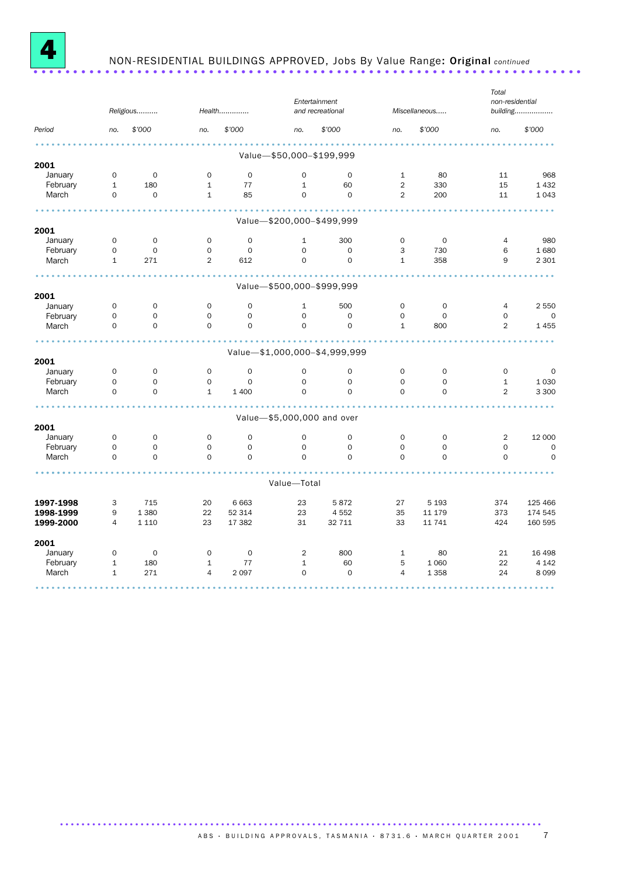

# NON-RESIDENTIAL BUILDINGS APPROVED, Jobs By Value Range: Original *continued* .....................................................................

|           |                     | Religious           |                     | Health              |                            | Entertainment<br>and recreational |                     | Miscellaneous |                     | non-residential<br>building |
|-----------|---------------------|---------------------|---------------------|---------------------|----------------------------|-----------------------------------|---------------------|---------------|---------------------|-----------------------------|
| Period    | no.                 | \$'000              | no.                 | \$'000              | no.                        | \$'000                            | no.                 | \$'000        | no.                 | \$'000                      |
|           |                     |                     |                     |                     | Value-\$50,000-\$199,999   |                                   |                     |               |                     |                             |
| 2001      |                     |                     |                     |                     |                            |                                   |                     |               |                     |                             |
| January   | $\mathsf{O}\xspace$ | $\mathbf 0$         | $\mathbf 0$         | $\mathbf 0$         | $\mathbf 0$                | $\mathbf 0$                       | $\mathbf{1}$        | 80            | 11                  | 968                         |
| February  | $\mathbf{1}$        | 180                 | $\mathbf{1}$        | 77                  | $\mathbf{1}$               | 60                                | $\overline{2}$      | 330           | 15                  | 1 4 3 2                     |
| March     | $\mathbf 0$         | $\mathsf{O}\xspace$ | $\mathbf{1}$        | 85                  | $\mathbf 0$                | $\mathbf 0$                       | $\overline{2}$      | 200           | 11                  | 1043                        |
|           |                     |                     |                     |                     | Value-\$200,000-\$499,999  |                                   |                     |               |                     |                             |
| 2001      |                     |                     |                     |                     |                            |                                   |                     |               |                     |                             |
| January   | $\mathsf{O}\xspace$ | $\mathsf{O}\xspace$ | $\mathsf{O}\xspace$ | $\mathsf{O}\xspace$ | $\mathbf{1}$               | 300                               | $\mathsf{O}\xspace$ | $\mathbf 0$   | 4                   | 980                         |
| February  | $\mathsf{O}\xspace$ | $\mathsf{O}\xspace$ | $\mathsf{O}\xspace$ | $\mathsf{O}$        | $\mathbf 0$                | $\mathsf{O}\xspace$               | 3                   | 730           | 6                   | 1680                        |
| March     | $\mathbf{1}$        | 271                 | $\overline{2}$      | 612                 | 0                          | $\Omega$                          | $\mathbf{1}$        | 358           | 9                   | 2 3 0 1                     |
|           |                     |                     |                     |                     | Value-\$500,000-\$999,999  |                                   |                     |               |                     |                             |
| 2001      |                     |                     |                     |                     |                            |                                   |                     |               |                     |                             |
| January   | $\mathsf{O}\xspace$ | $\mathbf 0$         | $\mathbf 0$         | $\mathbf 0$         | $\mathbf{1}$               | 500                               | $\mathbf 0$         | $\mathbf 0$   | 4                   | 2 5 5 0                     |
| February  | $\mathsf{O}\xspace$ | $\mathsf O$         | 0                   | $\mathbf 0$         | $\mathbf 0$                | $\mathsf O$                       | $\mathbf 0$         | $\mathbf 0$   | $\mathbf 0$         | $\mathbf 0$                 |
| March     | $\Omega$            | $\mathbf 0$         | $\Omega$            | $\Omega$            | $\Omega$                   | $\Omega$                          | $\mathbf{1}$        | 800           | $\overline{2}$      | 1455                        |
|           |                     |                     |                     |                     |                            |                                   |                     |               |                     |                             |
| 2001      |                     |                     |                     |                     |                            | Value-\$1,000,000-\$4,999,999     |                     |               |                     |                             |
| January   | $\mathbf 0$         | 0                   | $\mathsf{O}$        | $\mathbf 0$         | $\mathbf 0$                | $\mathbf 0$                       | $\mathbf 0$         | $\mathbf 0$   | 0                   | 0                           |
| February  | $\mathbf 0$         | $\mathbf 0$         | $\mathbf 0$         | $\mathbf 0$         | $\mathbf 0$                | $\mathbf 0$                       | $\mathbf 0$         | $\mathbf 0$   | $\mathbf{1}$        | 1 0 3 0                     |
| March     | $\mathbf 0$         | $\mathbf 0$         | $\mathbf{1}$        | 1 400               | $\Omega$                   | $\Omega$                          | $\mathbf 0$         | $\mathbf 0$   | $\overline{2}$      | 3 3 0 0                     |
|           |                     |                     |                     |                     | Value-\$5,000,000 and over |                                   |                     |               |                     |                             |
| 2001      |                     |                     |                     |                     |                            |                                   |                     |               |                     |                             |
| January   | $\mathbf 0$         | 0                   | $\mathbf 0$         | $\mathbf 0$         | $\mathbf 0$                | $\mathbf 0$                       | $\mathbf 0$         | 0             | 2                   | 12 000                      |
| February  | $\mathsf O$         | $\mathsf O$         | $\mathsf{O}\xspace$ | $\mathsf{O}$        | $\mathsf O$                | $\mathsf O$                       | $\mathsf{O}\xspace$ | $\mathsf O$   | $\mathsf{O}\xspace$ | $\mathbf 0$                 |
| March     | $\mathbf 0$         | $\mathbf 0$         | $\mathsf{O}$        | $\mathbf 0$         | $\mathbf 0$                | $\mathbf 0$                       | $\mathbf 0$         | $\mathbf 0$   | $\mathbf 0$         | $\mathbf 0$                 |
|           |                     |                     |                     |                     | Value-Total                |                                   |                     |               |                     |                             |
| 1997-1998 | 3                   | 715                 | 20                  | 6 6 6 3             | 23                         | 5872                              | 27                  | 5 1 9 3       | 374                 | 125 466                     |
| 1998-1999 | 9                   | 1 3 8 0             | 22                  | 52 314              | 23                         | 4 5 5 2                           | 35                  | 11 179        | 373                 | 174 545                     |
| 1999-2000 | $\overline{4}$      | 1 1 1 0             | 23                  | 17 382              | 31                         | 32 711                            | 33                  | 11 741        | 424                 | 160 595                     |
| 2001      |                     |                     |                     |                     |                            |                                   |                     |               |                     |                             |
| January   | $\mathsf O$         | $\mathsf{O}\xspace$ | $\mathbf 0$         | $\mathbf 0$         | 2                          | 800                               | $\mathbf{1}$        | 80            | 21                  | 16 4 98                     |
| February  | $\mathbf{1}$        | 180                 | $\mathbf{1}$        | 77                  | $\mathbf{1}$               | 60                                | 5                   | 1 0 6 0       | 22                  | 4 1 4 2                     |
| March     | $\mathbf{1}$        | 271                 | $\overline{4}$      | 2 0 9 7             | 0                          | $\mathbf 0$                       | $\overline{4}$      | 1 3 5 8       | 24                  | 8099                        |
|           |                     |                     |                     |                     |                            |                                   |                     |               |                     |                             |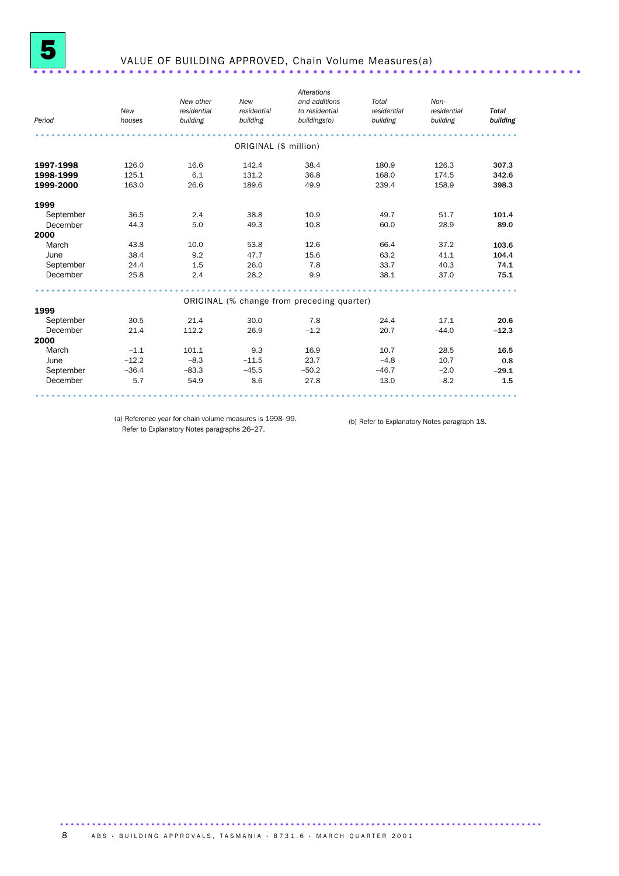

### VALUE OF BUILDING APPROVED, Chain Volume Measures(a) .....................................................................

|           |         |         | building              | to residential<br>buildings(b)             | residential<br>building | residential<br>building | <b>Total</b><br>building |
|-----------|---------|---------|-----------------------|--------------------------------------------|-------------------------|-------------------------|--------------------------|
|           |         |         | ORIGINAL (\$ million) |                                            |                         |                         |                          |
| 1997-1998 | 126.0   | 16.6    | 142.4                 | 38.4                                       | 180.9                   | 126.3                   | 307.3                    |
| 1998-1999 | 125.1   | 6.1     | 131.2                 | 36.8                                       | 168.0                   | 174.5                   | 342.6                    |
| 1999-2000 | 163.0   | 26.6    | 189.6                 | 49.9                                       | 239.4                   | 158.9                   | 398.3                    |
| 1999      |         |         |                       |                                            |                         |                         |                          |
| September | 36.5    | 2.4     | 38.8                  | 10.9                                       | 49.7                    | 51.7                    | 101.4                    |
| December  | 44.3    | 5.0     | 49.3                  | 10.8                                       | 60.0                    | 28.9                    | 89.0                     |
| 2000      |         |         |                       |                                            |                         |                         |                          |
| March     | 43.8    | 10.0    | 53.8                  | 12.6                                       | 66.4                    | 37.2                    | 103.6                    |
| June      | 38.4    | 9.2     | 47.7                  | 15.6                                       | 63.2                    | 41.1                    | 104.4                    |
| September | 24.4    | 1.5     | 26.0                  | 7.8                                        | 33.7                    | 40.3                    | 74.1                     |
| December  | 25.8    | 2.4     | 28.2                  | 9.9                                        | 38.1                    | 37.0                    | 75.1                     |
|           |         |         |                       |                                            |                         |                         |                          |
|           |         |         |                       | ORIGINAL (% change from preceding quarter) |                         |                         |                          |
| 1999      |         |         |                       |                                            |                         |                         |                          |
| September | 30.5    | 21.4    | 30.0                  | 7.8                                        | 24.4                    | 17.1                    | 20.6                     |
| December  | 21.4    | 112.2   | 26.9                  | $-1.2$                                     | 20.7                    | $-44.0$                 | $-12.3$                  |
| 2000      |         |         |                       |                                            |                         |                         |                          |
| March     | $-1.1$  | 101.1   | 9.3                   | 16.9                                       | 10.7                    | 28.5                    | 16.5                     |
| June      | $-12.2$ | $-8.3$  | $-11.5$               | 23.7                                       | $-4.8$                  | 10.7                    | 0.8                      |
| September | $-36.4$ | $-83.3$ | $-45.5$               | $-50.2$                                    | $-46.7$                 | $-2.0$                  | $-29.1$                  |
| December  | 5.7     | 54.9    | 8.6                   | 27.8                                       | 13.0                    | $-8.2$                  | 1.5                      |

(a) Reference year for chain volume measures is 1998–99. Refer to Explanatory Notes paragraphs 26–27.

(b) Refer to Explanatory Notes paragraph 18.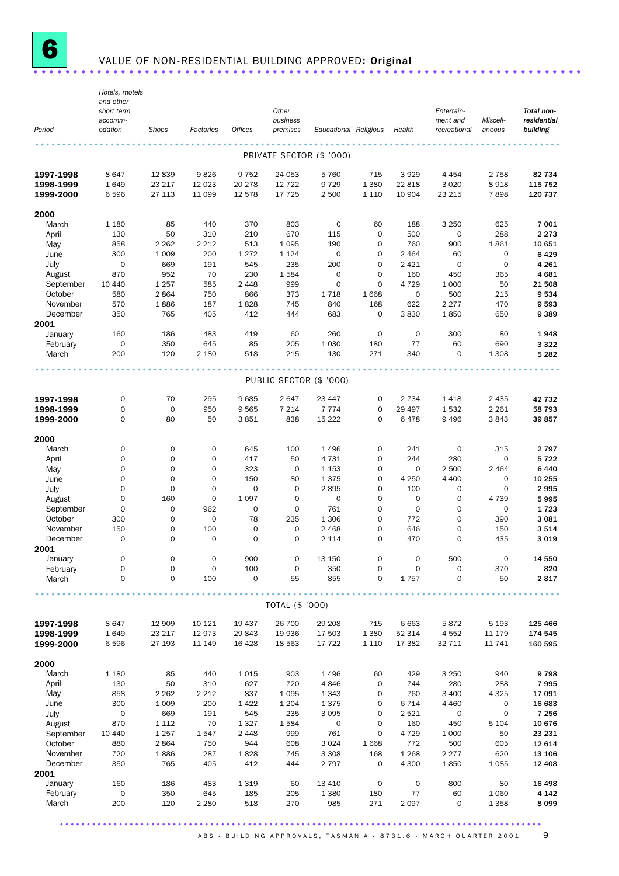

## VALUE OF NON-RESIDENTIAL BUILDING APPROVED: Original ............................

|                     | Hotels, motels<br>and other |                    |                            |                        |                            |                          |                            |                     |                          |                        |                         |
|---------------------|-----------------------------|--------------------|----------------------------|------------------------|----------------------------|--------------------------|----------------------------|---------------------|--------------------------|------------------------|-------------------------|
|                     | short term                  |                    |                            |                        | Other                      |                          |                            |                     | Entertain-               |                        | Total non-              |
| Period              | accomm-<br>odation          | Shops              | Factories                  | <b>Offices</b>         | business<br>premises       | Educational Religious    |                            | Health              | ment and<br>recreational | Miscell-<br>aneous     | residential<br>building |
|                     |                             |                    |                            |                        |                            |                          |                            |                     |                          |                        |                         |
|                     |                             |                    |                            |                        |                            | PRIVATE SECTOR (\$ '000) |                            |                     |                          |                        |                         |
| 1997-1998           | 8647                        | 12 839             | 9826                       | 9 7 5 2                | 24 053                     | 5 7 6 0                  | 715                        | 3 9 2 9             | 4 4 5 4                  | 2 7 5 8                | 82 734                  |
| 1998-1999           | 1649                        | 23 217             | 12 0 23                    | 20 278                 | 12 7 22                    | 9 7 2 9                  | 1 3 8 0                    | 22 818              | 3 0 2 0                  | 8918                   | 115 752                 |
| 1999-2000           | 6596                        | 27 113             | 11 099                     | 12 578                 | 17 725                     | 2 500                    | 1 1 1 0                    | 10 904              | 23 215                   | 7898                   | 120 737                 |
| 2000                |                             |                    |                            |                        |                            |                          |                            |                     |                          |                        |                         |
| March               | 1 1 8 0                     | 85                 | 440                        | 370                    | 803                        | $\mathbf 0$              | 60                         | 188                 | 3 2 5 0                  | 625                    | 7 001                   |
| April               | 130                         | 50                 | 310                        | 210                    | 670                        | 115                      | $\mathbf 0$                | 500                 | $\mathbf 0$              | 288                    | 2 2 7 3                 |
| May                 | 858<br>300                  | 2 2 6 2            | 2 2 1 2                    | 513                    | 1 0 9 5                    | 190                      | $\mathbf 0$                | 760                 | 900                      | 1861<br>$\mathbf 0$    | 10 651<br>6429          |
| June<br>July        | $\mathbf 0$                 | 1 0 0 9<br>669     | 200<br>191                 | 1 2 7 2<br>545         | 1 1 2 4<br>235             | $\mathbf 0$<br>200       | 0<br>$\mathbf 0$           | 2 4 6 4<br>2 4 2 1  | 60<br>$\mathbf 0$        | $\mathbf 0$            | 4 2 6 1                 |
| August              | 870                         | 952                | 70                         | 230                    | 1584                       | $\mathbf 0$              | $\mathbf 0$                | 160                 | 450                      | 365                    | 4681                    |
| September           | 10 4 40                     | 1 2 5 7            | 585                        | 2 4 4 8                | 999                        | $\mathbf 0$              | $\mathbf 0$                | 4 7 2 9             | 1 0 0 0                  | 50                     | 21 508                  |
| October             | 580                         | 2864               | 750                        | 866                    | 373                        | 1 7 1 8                  | 1668                       | $\mathsf{O}\xspace$ | 500                      | 215                    | 9534                    |
| November            | 570                         | 1886               | 187                        | 1828                   | 745                        | 840                      | 168                        | 622                 | 2 2 7 7                  | 470                    | 9593                    |
| December            | 350                         | 765                | 405                        | 412                    | 444                        | 683                      | 0                          | 3830                | 1850                     | 650                    | 9389                    |
| 2001<br>January     | 160                         | 186                | 483                        | 419                    | 60                         | 260                      | $\mathbf 0$                | $\mathbf 0$         | 300                      | 80                     | 1948                    |
| February            | $\mathbf 0$                 | 350                | 645                        | 85                     | 205                        | 1 0 3 0                  | 180                        | 77                  | 60                       | 690                    | 3 3 2 2                 |
| March               | 200                         | 120                | 2 1 8 0                    | 518                    | 215                        | 130                      | 271                        | 340                 | 0                        | 1 3 0 8                | 5 2 8 2                 |
|                     |                             |                    |                            |                        |                            |                          |                            |                     |                          |                        |                         |
|                     |                             |                    |                            |                        | PUBLIC SECTOR (\$ '000)    |                          |                            |                     |                          |                        |                         |
| 1997-1998           | $\mathsf{O}\xspace$         | 70                 | 295                        | 9685                   | 2647                       | 23 447                   | 0                          | 2 7 3 4             | 1418                     | 2 4 3 5                | 42 732                  |
| 1998-1999           | $\mathbf 0$                 | $\mathbf 0$        | 950                        | 9565                   | 7 2 1 4                    | 7 7 7 4                  | $\mathbf 0$                | 29 497              | 1532                     | 2 2 6 1                | 58 793                  |
| 1999-2000           | $\mathbf 0$                 | 80                 | 50                         | 3851                   | 838                        | 15 2 22                  | $\mathbf 0$                | 6478                | 9 4 9 6                  | 3843                   | 39857                   |
| 2000                |                             |                    |                            |                        |                            |                          |                            |                     |                          |                        |                         |
| March               | 0                           | $\mathbf 0$        | $\mathsf{O}\xspace$        | 645                    | 100                        | 1 4 9 6                  | 0                          | 241                 | 0                        | 315                    | 2 7 9 7                 |
| April               | $\mathbf 0$                 | $\mathbf 0$        | 0                          | 417                    | 50                         | 4 7 3 1                  | $\mathbf 0$                | 244                 | 280                      | $\mathbf 0$            | 5722                    |
| May                 | $\mathbf 0$                 | $\mathbf 0$        | 0                          | 323                    | $\mathbf 0$                | 1 1 5 3                  | $\mathbf 0$                | $\mathbf 0$         | 2 500                    | 2 4 6 4                | 6440                    |
| June                | $\mathbf 0$                 | $\mathbf 0$        | 0                          | 150                    | 80                         | 1375                     | 0                          | 4 2 5 0             | 4 4 0 0                  | $\mathbf 0$            | 10 255                  |
| July                | $\mathbf 0$<br>$\mathbf 0$  | $\mathbf 0$        | $\mathbf 0$<br>$\mathbf 0$ | $\mathbf 0$            | $\mathbf 0$<br>$\mathbf 0$ | 2895                     | $\mathbf 0$<br>$\mathbf 0$ | 100<br>$\mathbf 0$  | $\mathbf 0$              | $\mathbf 0$            | 2995                    |
| August<br>September | $\mathbf 0$                 | 160<br>$\mathbf 0$ | 962                        | 1 0 9 7<br>$\mathbf 0$ | $\mathbf 0$                | 0<br>761                 | $\mathbf 0$                | $\mathbf 0$         | 0<br>0                   | 4 7 3 9<br>$\mathbf 0$ | 5995<br>1723            |
| October             | 300                         | $\mathbf 0$        | $\mathsf{O}\xspace$        | 78                     | 235                        | 1 3 0 6                  | $\mathbf 0$                | 772                 | $\mathbf 0$              | 390                    | 3 0 8 1                 |
| November            | 150                         | 0                  | 100                        | 0                      | 0                          | 2 4 6 8                  | 0                          | 646                 | 0                        | 150                    | 3514                    |
| December            | $\mathbf 0$                 | 0                  | $\mathbf 0$                | $\overline{0}$         | $\mathbf 0$                | 2 1 1 4                  | $\mathbf 0$                | 470                 | $\mathbf 0$              | 435                    | 3019                    |
| 2001                |                             |                    |                            |                        |                            |                          |                            |                     |                          |                        |                         |
| January             | $\mathbf 0$                 | 0                  | 0                          | 900                    | $\mathsf{O}\xspace$        | 13 150                   | $\mathsf{O}\xspace$        | $\mathbf 0$         | 500                      | $\mathbf 0$            | 14 550                  |
| February<br>March   | 0<br>0                      | $\mathbf 0$<br>0   | $\mathsf{O}\xspace$<br>100 | 100<br>$\mathbf 0$     | $\mathsf{O}\xspace$<br>55  | 350<br>855               | $\mathsf{O}\xspace$<br>0   | $\mathbf 0$<br>1757 | $\mathbf 0$<br>0         | 370<br>50              | 820<br>2817             |
|                     |                             |                    |                            |                        |                            |                          |                            |                     |                          |                        |                         |
|                     |                             |                    |                            |                        | TOTAL (\$ '000)            |                          |                            |                     |                          |                        |                         |
| 1997-1998           | 8647                        | 12 909             | 10 121                     | 19 437                 | 26 700                     | 29 208                   | 715                        | 6663                | 5872                     | 5 1 9 3                | 125 466                 |
| 1998-1999           | 1649                        | 23 217             | 12973                      | 29 843                 | 19 936                     | 17 503                   | 1 3 8 0                    | 52 314              | 4552                     | 11 179                 | 174 545                 |
| 1999-2000           | 6 5 9 6                     | 27 193             | 11 149                     | 16 4 28                | 18 5 63                    | 17 722                   | 1 1 1 0                    | 17 382              | 32 711                   | 11 741                 | 160 595                 |
|                     |                             |                    |                            |                        |                            |                          |                            |                     |                          |                        |                         |
| 2000<br>March       | 1 1 8 0                     | 85                 | 440                        | 1015                   | 903                        | 1496                     | 60                         | 429                 | 3 2 5 0                  | 940                    | 9798                    |
| April               | 130                         | 50                 | 310                        | 627                    | 720                        | 4846                     | $\mathbf 0$                | 744                 | 280                      | 288                    | 7995                    |
| May                 | 858                         | 2 2 6 2            | 2 2 1 2                    | 837                    | 1 0 9 5                    | 1 3 4 3                  | 0                          | 760                 | 3 4 0 0                  | 4 3 2 5                | 17 091                  |
| June                | 300                         | 1 0 0 9            | 200                        | 1422                   | 1 2 0 4                    | 1375                     | 0                          | 6 7 1 4             | 4 4 6 0                  | 0                      | 16 683                  |
| July                | $\mathbf 0$                 | 669                | 191                        | 545                    | 235                        | 3 0 9 5                  | $\mathbf 0$                | 2521                | $\mathsf{O}\xspace$      | $\mathbf 0$            | 7 2 5 6                 |
| August              | 870                         | 1 1 1 2            | 70                         | 1 3 2 7                | 1584                       | 0                        | 0                          | 160                 | 450                      | 5 1 0 4                | 10 676                  |
| September           | 10 440                      | 1 2 5 7            | 1547                       | 2 4 4 8                | 999                        | 761                      | $\mathbf 0$                | 4 7 2 9             | 1 0 0 0                  | 50                     | 23 231                  |
| October<br>November | 880<br>720                  | 2864<br>1886       | 750<br>287                 | 944                    | 608                        | 3 0 2 4<br>3 3 0 8       | 1668                       | 772<br>1 2 6 8      | 500<br>2 2 7 7           | 605                    | 12 614<br>13 106        |
| December            | 350                         | 765                | 405                        | 1828<br>412            | 745<br>444                 | 2 7 9 7                  | 168<br>$\mathbf 0$         | 4 300               | 1850                     | 620<br>1 0 8 5         | 12 4 08                 |
| 2001                |                             |                    |                            |                        |                            |                          |                            |                     |                          |                        |                         |
| January             | 160                         | 186                | 483                        | 1 3 1 9                | 60                         | 13 4 10                  | $\mathbf 0$                | $\mathbf 0$         | 800                      | 80                     | 16 4 98                 |
| February            | 0                           | 350                | 645                        | 185                    | 205                        | 1 3 8 0                  | 180                        | 77                  | 60                       | 1 0 6 0                | 4 1 4 2                 |
| March               | 200                         | 120                | 2 2 8 0                    | 518                    | 270                        | 985                      | 271                        | 2097                | 0                        | 1 3 5 8                | 8 0 9 9                 |

 $ABS \cdot B$ UILDING APPROVALS, TASMANIA  $\cdot$  8731.6  $\cdot$  MARCH QUARTER 2001 9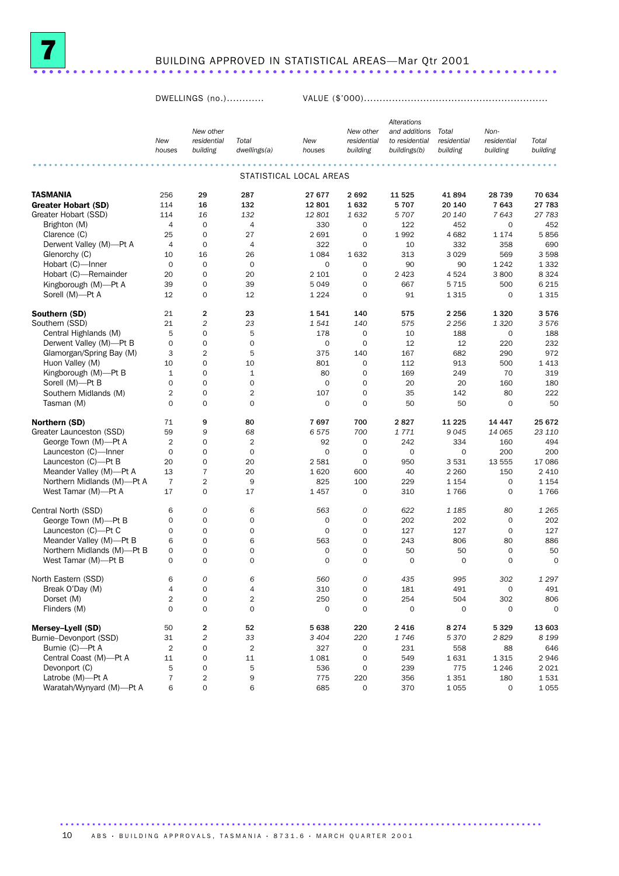

## BUILDING APPROVED IN STATISTICAL AREAS—Mar Qtr 2001 .................................................................. ....

DWELLINGS (no.)............ VALUE (\$'000)...........................................................

|                            |                |                     |                |                         |                     | Alterations    |             |                     |             |
|----------------------------|----------------|---------------------|----------------|-------------------------|---------------------|----------------|-------------|---------------------|-------------|
|                            |                | New other           |                |                         | New other           | and additions  | Total       | Non-                |             |
|                            | New            | residential         | Total          | New                     | residential         | to residential | residential | residential         | Total       |
|                            | houses         | building            | dwellings(a)   | houses                  | building            | buildings(b)   | building    | building            | building    |
|                            |                |                     |                |                         |                     |                |             |                     |             |
|                            |                |                     |                | STATISTICAL LOCAL AREAS |                     |                |             |                     |             |
| <b>TASMANIA</b>            | 256            | 29                  | 287            | 27 677                  | 2692                | 11 525         | 41894       | 28739               | 70 634      |
| <b>Greater Hobart (SD)</b> | 114            | 16                  | 132            | 12 801                  | 1632                | 5707           | 20 140      | 7 6 4 3             | 27 783      |
| Greater Hobart (SSD)       | 114            | 16                  | 132            | 12 801                  | 1632                | 5 7 0 7        | 20 140      | 7643                | 27 783      |
| Brighton (M)               | $\overline{4}$ | $\mathbf 0$         | $\overline{4}$ | 330                     | 0                   | 122            | 452         | 0                   | 452         |
| Clarence (C)               | 25             | $\mathbf 0$         | 27             | 2 6 9 1                 | $\mathbf 0$         | 1992           | 4682        | 1 1 7 4             | 5856        |
| Derwent Valley (M)-Pt A    | $\overline{4}$ | 0                   | 4              | 322                     | 0                   | 10             | 332         | 358                 | 690         |
| Glenorchy (C)              | 10             | 16                  | 26             | 1 0 8 4                 | 1632                | 313            | 3 0 2 9     | 569                 | 3 5 9 8     |
| Hobart (C)-Inner           | $\mathbf 0$    | $\mathbf 0$         | $\mathbf 0$    | $\mathbf 0$             | 0                   | 90             | 90          | 1 2 4 2             | 1 3 3 2     |
| Hobart (C)-Remainder       | 20             | $\mathbf 0$         | 20             | 2 1 0 1                 | $\mathbf 0$         | 2 4 2 3        | 4524        | 3800                | 8 3 2 4     |
| Kingborough (M)-Pt A       | 39             | $\mathbf 0$         | 39             | 5 0 4 9                 | $\mathbf 0$         | 667            | 5 7 1 5     | 500                 | 6 2 1 5     |
| Sorell (M)-Pt A            | 12             | 0                   | 12             | 1 2 2 4                 | $\mathbf 0$         | 91             | 1 3 1 5     | $\mathbf 0$         | 1315        |
| Southern (SD)              | 21             | $\mathbf{2}$        | 23             | 1541                    | 140                 | 575            | 2 2 5 6     | 1320                | 3576        |
| Southern (SSD)             | 21             | $\overline{c}$      | 23             | 1541                    | 140                 | 575            | 2 2 5 6     | 1 3 2 0             | 3576        |
| Central Highlands (M)      | 5              | $\mathbf 0$         | 5              | 178                     | $\mathbf 0$         | 10             | 188         | $\mathbf 0$         | 188         |
| Derwent Valley (M)-Pt B    | $\mathbf 0$    | $\mathbf 0$         | 0              | $\mathbf 0$             | $\mathbf 0$         | 12             | 12          | 220                 | 232         |
| Glamorgan/Spring Bay (M)   | 3              | $\overline{2}$      | 5              | 375                     | 140                 | 167            | 682         | 290                 | 972         |
| Huon Valley (M)            | 10             | $\mathbf 0$         | 10             | 801                     | $\mathbf 0$         | 112            | 913         | 500                 | 1413        |
| Kingborough (M)-Pt B       | $\mathbf{1}$   | $\mathbf 0$         | $\mathbf 1$    | 80                      | $\mathbf 0$         | 169            | 249         | 70                  | 319         |
| Sorell (M)-Pt B            | $\Omega$       | $\mathbf 0$         | 0              | $\mathbf 0$             | $\mathbf 0$         | 20             | 20          | 160                 | 180         |
| Southern Midlands (M)      | $\overline{2}$ | $\mathbf 0$         | 2              | 107                     | $\mathbf 0$         | 35             | 142         | 80                  | 222         |
| Tasman (M)                 | $\Omega$       | $\mathbf 0$         | 0              | $\mathbf 0$             | $\mathbf 0$         | 50             | 50          | $\mathbf 0$         | 50          |
| Northern (SD)              | 71             | 9                   | 80             | 7697                    | 700                 | 2827           | 11 2 25     | 14 4 4 7            | 25 672      |
| Greater Launceston (SSD)   | 59             | 9                   | 68             | 6575                    | 700                 | 1771           | 9045        | 14 065              | 23 110      |
| George Town (M)-Pt A       | $\overline{2}$ | $\mathbf 0$         | 2              | 92                      | $\mathbf 0$         | 242            | 334         | 160                 | 494         |
| Launceston (C)-Inner       | $\mathbf 0$    | $\mathbf 0$         | $\mathbf 0$    | $\mathbf 0$             | $\mathbf 0$         | $\mathbf 0$    | 0           | 200                 | 200         |
| Launceston (C)-Pt B        | 20             | $\mathbf 0$         | 20             | 2 5 8 1                 | $\mathbf 0$         | 950            | 3531        | 13 555              | 17 086      |
| Meander Valley (M)-Pt A    | 13             | $\bf 7$             | 20             | 1620                    | 600                 | 40             | 2 2 6 0     | 150                 | 2 4 1 0     |
| Northern Midlands (M)-Pt A | $\overline{7}$ | $\overline{2}$      | 9              | 825                     | 100                 | 229            | 1 1 5 4     | 0                   | 1 1 5 4     |
| West Tamar (M)-Pt A        | 17             | $\mathbf 0$         | 17             | 1457                    | $\mathbf 0$         | 310            | 1766        | 0                   | 1766        |
| Central North (SSD)        | 6              | $\mathcal{O}$       | 6              | 563                     | 0                   | 622            | 1 1 8 5     | 80                  | 1 2 6 5     |
| George Town (M)-Pt B       | $\mathbf 0$    | $\mathbf 0$         | 0              | 0                       | $\mathbf 0$         | 202            | 202         | $\mathbf 0$         | 202         |
| Launceston (C)-Pt C        | $\mathbf 0$    | $\mathbf 0$         | 0              | $\mathbf 0$             | $\mathbf 0$         | 127            | 127         | $\mathbf 0$         | 127         |
| Meander Valley (M)-Pt B    | 6              | $\mathbf 0$         | 6              | 563                     | $\mathbf 0$         | 243            | 806         | 80                  | 886         |
| Northern Midlands (M)-Pt B | 0              | $\mathbf 0$         | 0              | 0                       | $\mathbf 0$         | 50             | 50          | $\mathbf 0$         | 50          |
| West Tamar (M)-Pt B        | $\mathbf 0$    | $\mathbf 0$         | $\mathbf 0$    | 0                       | $\mathbf 0$         | $\mathbf 0$    | $\mathbf 0$ | 0                   | $\mathbf 0$ |
|                            |                |                     |                |                         |                     |                |             |                     |             |
| North Eastern (SSD)        | 6              | $\overline{O}$      | 6              | 560                     | $\overline{O}$      | 435            | 995         | 302                 | 1 297       |
| Break O'Day (M)            | 4              | 0                   | 4              | 310                     | 0                   | 181            | 491         | $\mathsf{O}\xspace$ | 491         |
| Dorset (M)                 | $\overline{c}$ | $\mathsf{O}\xspace$ | 2              | 250                     | 0                   | 254            | 504         | 302                 | 806         |
| Flinders (M)               | $\mathbf 0$    | $\mathbf 0$         | 0              | 0                       | $\mathsf{O}\xspace$ | 0              | $\mathbf 0$ | $\mathbf 0$         | $\mathsf O$ |
| Mersey-Lyell (SD)          | 50             | $\mathbf 2$         | 52             | 5 6 38                  | 220                 | 2 4 1 6        | 8 2 7 4     | 5329                | 13 603      |
| Burnie-Devonport (SSD)     | 31             | $\overline{c}$      | 33             | 3 4 0 4                 | 220                 | 1746           | 5 3 7 0     | 2829                | 8 1 9 9     |
| Burnie (C)-Pt A            | $\overline{2}$ | $\mathsf{O}\xspace$ | $\overline{2}$ | 327                     | $\mathsf{O}\xspace$ | 231            | 558         | 88                  | 646         |
| Central Coast (M)-Pt A     | 11             | $\mathsf{O}\xspace$ | 11             | 1 0 8 1                 | $\mathsf{O}\xspace$ | 549            | 1631        | 1 3 1 5             | 2946        |
| Devonport (C)              | 5              | 0                   | 5              | 536                     | 0                   | 239            | 775         | 1 2 4 6             | 2021        |
| Latrobe (M)-Pt A           | $\overline{7}$ | $\overline{2}$      | 9              | 775                     | 220                 | 356            | 1 3 5 1     | 180                 | 1531        |
| Waratah/Wynyard (M)-Pt A   | 6              | 0                   | 6              | 685                     | 0                   | 370            | 1 0 5 5     | 0                   | 1055        |

10 ABS · BUILDING APPROVALS, TASMANIA · 8731.6 · MARCH QUARTER 2001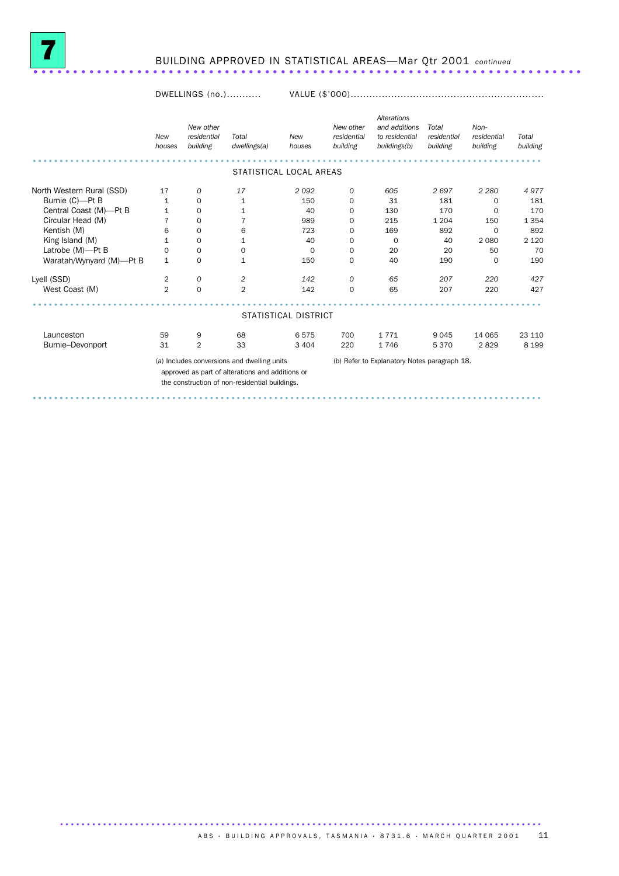

#### BUILDING APPROVED IN STATISTICAL AREAS—Mar Qtr 2001 *continued* ..................................................................... .

DWELLINGS (no.)........... VALUE (\$'000)..............................................................

|                           | New<br>houses  | New other<br>residential<br>building | Total<br>dwellings(a)                                                                                                                             | New<br>houses        | New other<br>residential<br>building | Alterations<br>and additions<br>to residential<br>buildings(b) | Total<br>residential<br>building | Non-<br>residential<br>building | Total<br>building |
|---------------------------|----------------|--------------------------------------|---------------------------------------------------------------------------------------------------------------------------------------------------|----------------------|--------------------------------------|----------------------------------------------------------------|----------------------------------|---------------------------------|-------------------|
|                           |                |                                      | STATISTICAL LOCAL AREAS                                                                                                                           |                      |                                      |                                                                |                                  |                                 |                   |
|                           |                |                                      |                                                                                                                                                   |                      |                                      |                                                                |                                  |                                 |                   |
| North Western Rural (SSD) | 17             | 0                                    | 17                                                                                                                                                | 2092                 | 0                                    | 605                                                            | 2697                             | 2 2 8 0                         | 4977              |
| Burnie (C)-Pt B           | 1              | $\mathbf 0$                          | 1                                                                                                                                                 | 150                  | 0                                    | 31                                                             | 181                              | 0                               | 181               |
| Central Coast (M)-Pt B    | $\mathbf{1}$   | 0                                    | 1                                                                                                                                                 | 40                   | 0                                    | 130                                                            | 170                              | $\mathbf 0$                     | 170               |
| Circular Head (M)         | 7              | 0                                    | 7                                                                                                                                                 | 989                  | 0                                    | 215                                                            | 1 2 0 4                          | 150                             | 1 3 5 4           |
| Kentish (M)               | 6              | 0                                    | 6                                                                                                                                                 | 723                  | 0                                    | 169                                                            | 892                              | 0                               | 892               |
| King Island (M)           | 1              | 0                                    | 1                                                                                                                                                 | 40                   | 0                                    | $\Omega$                                                       | 40                               | 2 0 8 0                         | 2 1 2 0           |
| Latrobe (M)-Pt B          | 0              | 0                                    | 0                                                                                                                                                 | 0                    | 0                                    | 20                                                             | 20                               | 50                              | 70                |
| Waratah/Wynyard (M)-Pt B  | $\mathbf{1}$   | 0                                    | $\mathbf{1}$                                                                                                                                      | 150                  | 0                                    | 40                                                             | 190                              | 0                               | 190               |
| Lyell (SSD)               | 2              | 0                                    | $\overline{c}$                                                                                                                                    | 142                  | 0                                    | 65                                                             | 207                              | 220                             | 427               |
| West Coast (M)            | $\overline{2}$ | $\mathbf 0$                          | $\overline{2}$                                                                                                                                    | 142                  | $\mathbf 0$                          | 65                                                             | 207                              | 220                             | 427               |
|                           |                |                                      |                                                                                                                                                   | STATISTICAL DISTRICT |                                      |                                                                |                                  |                                 |                   |
| Launceston                | 59             | 9                                    | 68                                                                                                                                                | 6575                 | 700                                  | 1771                                                           | 9045                             | 14 065                          | 23 110            |
| Burnie-Devonport          | 31             | $\overline{2}$                       | 33                                                                                                                                                | 3 4 0 4              | 220                                  | 1746                                                           | 5370                             | 2829                            | 8 1 9 9           |
|                           |                |                                      | (a) Includes conversions and dwelling units<br>approved as part of alterations and additions or<br>the construction of non-residential buildings. |                      |                                      | (b) Refer to Explanatory Notes paragraph 18.                   |                                  |                                 |                   |

............................................................................................... ......

ABS  $\cdot$  BUILDING APPROVALS, TASMANIA  $\cdot$  8731.6  $\cdot$  MARCH QUARTER 2001 11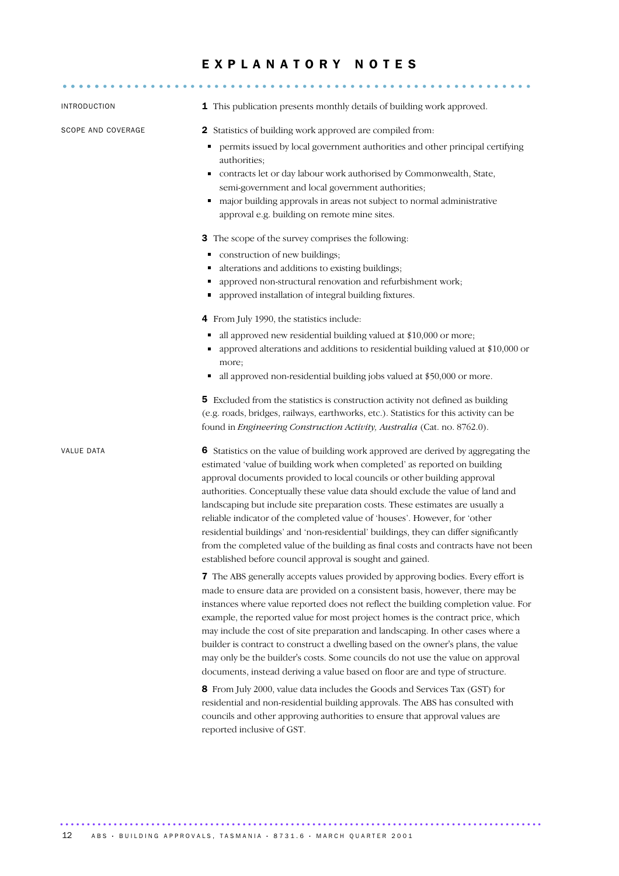### E X P L A N A T O R Y N O T E S

| INTRODUCTION              | 1 This publication presents monthly details of building work approved.                                                                                                                                                                                                                                                                                                                                                                                                                                                                                                                                                                                                                                                                                                |
|---------------------------|-----------------------------------------------------------------------------------------------------------------------------------------------------------------------------------------------------------------------------------------------------------------------------------------------------------------------------------------------------------------------------------------------------------------------------------------------------------------------------------------------------------------------------------------------------------------------------------------------------------------------------------------------------------------------------------------------------------------------------------------------------------------------|
| <b>SCOPE AND COVERAGE</b> | Statistics of building work approved are compiled from:<br>2<br>permits issued by local government authorities and other principal certifying<br>٠<br>authorities;<br>contracts let or day labour work authorised by Commonwealth, State,<br>semi-government and local government authorities;<br>major building approvals in areas not subject to normal administrative<br>٠<br>approval e.g. building on remote mine sites.                                                                                                                                                                                                                                                                                                                                         |
|                           | <b>3</b> The scope of the survey comprises the following:<br>construction of new buildings;<br>٠<br>alterations and additions to existing buildings;<br>Ξ<br>approved non-structural renovation and refurbishment work;<br>approved installation of integral building fixtures.<br>п                                                                                                                                                                                                                                                                                                                                                                                                                                                                                  |
|                           | 4 From July 1990, the statistics include:<br>all approved new residential building valued at \$10,000 or more;<br>п<br>approved alterations and additions to residential building valued at \$10,000 or<br>more;<br>all approved non-residential building jobs valued at \$50,000 or more.                                                                                                                                                                                                                                                                                                                                                                                                                                                                            |
|                           | 5 Excluded from the statistics is construction activity not defined as building<br>(e.g. roads, bridges, railways, earthworks, etc.). Statistics for this activity can be<br>found in Engineering Construction Activity, Australia (Cat. no. 8762.0).                                                                                                                                                                                                                                                                                                                                                                                                                                                                                                                 |
| VALUE DATA                | 6 Statistics on the value of building work approved are derived by aggregating the<br>estimated 'value of building work when completed' as reported on building<br>approval documents provided to local councils or other building approval<br>authorities. Conceptually these value data should exclude the value of land and<br>landscaping but include site preparation costs. These estimates are usually a<br>reliable indicator of the completed value of 'houses'. However, for 'other<br>residential buildings' and 'non-residential' buildings, they can differ significantly<br>from the completed value of the building as final costs and contracts have not been<br>established before council approval is sought and gained.                            |
|                           | 7 The ABS generally accepts values provided by approving bodies. Every effort is<br>made to ensure data are provided on a consistent basis, however, there may be<br>instances where value reported does not reflect the building completion value. For<br>example, the reported value for most project homes is the contract price, which<br>may include the cost of site preparation and landscaping. In other cases where a<br>builder is contract to construct a dwelling based on the owner's plans, the value<br>may only be the builder's costs. Some councils do not use the value on approval<br>documents, instead deriving a value based on floor are and type of structure.<br>8 From July 2000, value data includes the Goods and Services Tax (GST) for |
|                           | residential and non-residential building approvals. The ABS has consulted with<br>councils and other approving authorities to ensure that approval values are<br>reported inclusive of GST.                                                                                                                                                                                                                                                                                                                                                                                                                                                                                                                                                                           |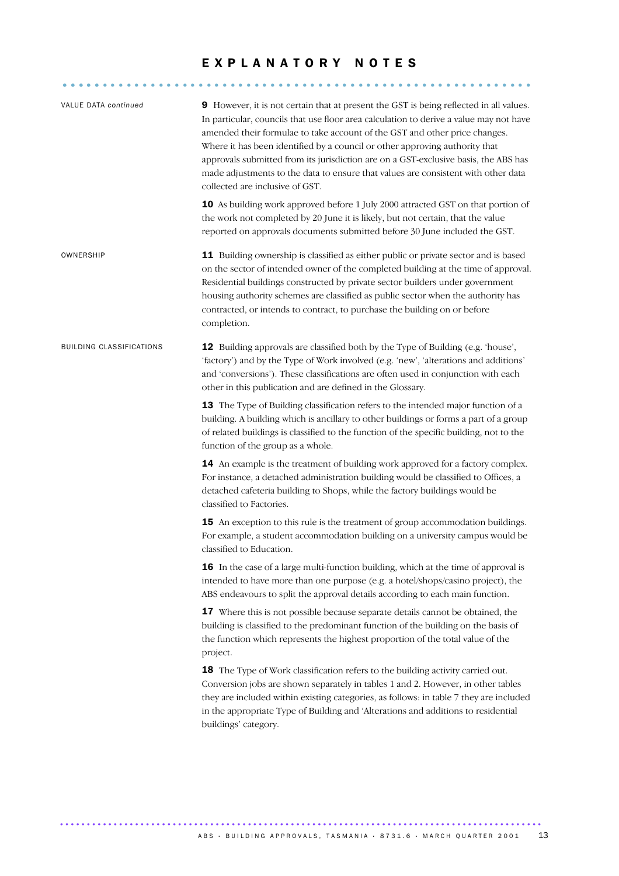### EXPLANATORY NOTES

........................................................... .....

| VALUE DATA continued            | 9 However, it is not certain that at present the GST is being reflected in all values.<br>In particular, councils that use floor area calculation to derive a value may not have<br>amended their formulae to take account of the GST and other price changes.<br>Where it has been identified by a council or other approving authority that<br>approvals submitted from its jurisdiction are on a GST-exclusive basis, the ABS has<br>made adjustments to the data to ensure that values are consistent with other data<br>collected are inclusive of GST.<br>10 As building work approved before 1 July 2000 attracted GST on that portion of<br>the work not completed by 20 June it is likely, but not certain, that the value<br>reported on approvals documents submitted before 30 June included the GST. |
|---------------------------------|-------------------------------------------------------------------------------------------------------------------------------------------------------------------------------------------------------------------------------------------------------------------------------------------------------------------------------------------------------------------------------------------------------------------------------------------------------------------------------------------------------------------------------------------------------------------------------------------------------------------------------------------------------------------------------------------------------------------------------------------------------------------------------------------------------------------|
| OWNERSHIP                       | 11 Building ownership is classified as either public or private sector and is based<br>on the sector of intended owner of the completed building at the time of approval.<br>Residential buildings constructed by private sector builders under government<br>housing authority schemes are classified as public sector when the authority has<br>contracted, or intends to contract, to purchase the building on or before<br>completion.                                                                                                                                                                                                                                                                                                                                                                        |
| <b>BUILDING CLASSIFICATIONS</b> | <b>12</b> Building approvals are classified both by the Type of Building (e.g. 'house',<br>'factory') and by the Type of Work involved (e.g. 'new', 'alterations and additions'<br>and 'conversions'). These classifications are often used in conjunction with each<br>other in this publication and are defined in the Glossary.                                                                                                                                                                                                                                                                                                                                                                                                                                                                                |
|                                 | 13 The Type of Building classification refers to the intended major function of a<br>building. A building which is ancillary to other buildings or forms a part of a group<br>of related buildings is classified to the function of the specific building, not to the<br>function of the group as a whole.                                                                                                                                                                                                                                                                                                                                                                                                                                                                                                        |
|                                 | 14 An example is the treatment of building work approved for a factory complex.<br>For instance, a detached administration building would be classified to Offices, a<br>detached cafeteria building to Shops, while the factory buildings would be<br>classified to Factories.                                                                                                                                                                                                                                                                                                                                                                                                                                                                                                                                   |
|                                 | <b>15</b> An exception to this rule is the treatment of group accommodation buildings.<br>For example, a student accommodation building on a university campus would be<br>classified to Education.                                                                                                                                                                                                                                                                                                                                                                                                                                                                                                                                                                                                               |
|                                 | 16 In the case of a large multi-function building, which at the time of approval is<br>intended to have more than one purpose (e.g. a hotel/shops/casino project), the<br>ABS endeavours to split the approval details according to each main function.                                                                                                                                                                                                                                                                                                                                                                                                                                                                                                                                                           |
|                                 | 17 Where this is not possible because separate details cannot be obtained, the<br>building is classified to the predominant function of the building on the basis of<br>the function which represents the highest proportion of the total value of the<br>project.                                                                                                                                                                                                                                                                                                                                                                                                                                                                                                                                                |
|                                 | <b>18</b> The Type of Work classification refers to the building activity carried out.<br>Conversion jobs are shown separately in tables 1 and 2. However, in other tables<br>they are included within existing categories, as follows: in table 7 they are included<br>in the appropriate Type of Building and 'Alterations and additions to residential<br>buildings' category.                                                                                                                                                                                                                                                                                                                                                                                                                                 |
|                                 |                                                                                                                                                                                                                                                                                                                                                                                                                                                                                                                                                                                                                                                                                                                                                                                                                   |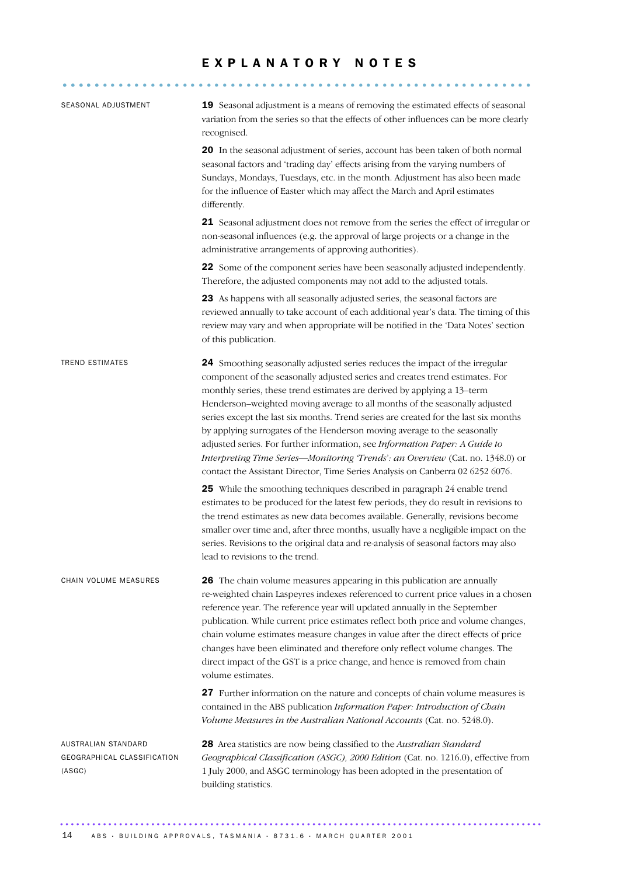### EXPLANATORY NOTES

| SEASONAL ADJUSTMENT                                          | 19 Seasonal adjustment is a means of removing the estimated effects of seasonal<br>variation from the series so that the effects of other influences can be more clearly<br>recognised.                                                                                                                                                                                                                                                                                                                                                                                                                                                                                                                                                    |
|--------------------------------------------------------------|--------------------------------------------------------------------------------------------------------------------------------------------------------------------------------------------------------------------------------------------------------------------------------------------------------------------------------------------------------------------------------------------------------------------------------------------------------------------------------------------------------------------------------------------------------------------------------------------------------------------------------------------------------------------------------------------------------------------------------------------|
|                                                              | 20 In the seasonal adjustment of series, account has been taken of both normal<br>seasonal factors and 'trading day' effects arising from the varying numbers of<br>Sundays, Mondays, Tuesdays, etc. in the month. Adjustment has also been made<br>for the influence of Easter which may affect the March and April estimates<br>differently.                                                                                                                                                                                                                                                                                                                                                                                             |
|                                                              | 21 Seasonal adjustment does not remove from the series the effect of irregular or<br>non-seasonal influences (e.g. the approval of large projects or a change in the<br>administrative arrangements of approving authorities).                                                                                                                                                                                                                                                                                                                                                                                                                                                                                                             |
|                                                              | 22 Some of the component series have been seasonally adjusted independently.<br>Therefore, the adjusted components may not add to the adjusted totals.                                                                                                                                                                                                                                                                                                                                                                                                                                                                                                                                                                                     |
|                                                              | 23 As happens with all seasonally adjusted series, the seasonal factors are<br>reviewed annually to take account of each additional year's data. The timing of this<br>review may vary and when appropriate will be notified in the 'Data Notes' section<br>of this publication.                                                                                                                                                                                                                                                                                                                                                                                                                                                           |
| TREND ESTIMATES                                              | 24 Smoothing seasonally adjusted series reduces the impact of the irregular<br>component of the seasonally adjusted series and creates trend estimates. For<br>monthly series, these trend estimates are derived by applying a 13-term<br>Henderson-weighted moving average to all months of the seasonally adjusted<br>series except the last six months. Trend series are created for the last six months<br>by applying surrogates of the Henderson moving average to the seasonally<br>adjusted series. For further information, see Information Paper: A Guide to<br>Interpreting Time Series-Monitoring 'Trends': an Overview (Cat. no. 1348.0) or<br>contact the Assistant Director, Time Series Analysis on Canberra 02 6252 6076. |
|                                                              | 25 While the smoothing techniques described in paragraph 24 enable trend<br>estimates to be produced for the latest few periods, they do result in revisions to<br>the trend estimates as new data becomes available. Generally, revisions become<br>smaller over time and, after three months, usually have a negligible impact on the<br>series. Revisions to the original data and re-analysis of seasonal factors may also<br>lead to revisions to the trend.                                                                                                                                                                                                                                                                          |
| CHAIN VOLUME MEASURES                                        | 26 The chain volume measures appearing in this publication are annually<br>re-weighted chain Laspeyres indexes referenced to current price values in a chosen<br>reference year. The reference year will updated annually in the September<br>publication. While current price estimates reflect both price and volume changes,<br>chain volume estimates measure changes in value after the direct effects of price<br>changes have been eliminated and therefore only reflect volume changes. The<br>direct impact of the GST is a price change, and hence is removed from chain<br>volume estimates.                                                                                                                                    |
|                                                              | 27 Further information on the nature and concepts of chain volume measures is<br>contained in the ABS publication Information Paper: Introduction of Chain<br>Volume Measures in the Australian National Accounts (Cat. no. 5248.0).                                                                                                                                                                                                                                                                                                                                                                                                                                                                                                       |
| AUSTRALIAN STANDARD<br>GEOGRAPHICAL CLASSIFICATION<br>(ASGC) | 28 Area statistics are now being classified to the Australian Standard<br>Geographical Classification (ASGC), 2000 Edition (Cat. no. 1216.0), effective from<br>1 July 2000, and ASGC terminology has been adopted in the presentation of<br>building statistics.                                                                                                                                                                                                                                                                                                                                                                                                                                                                          |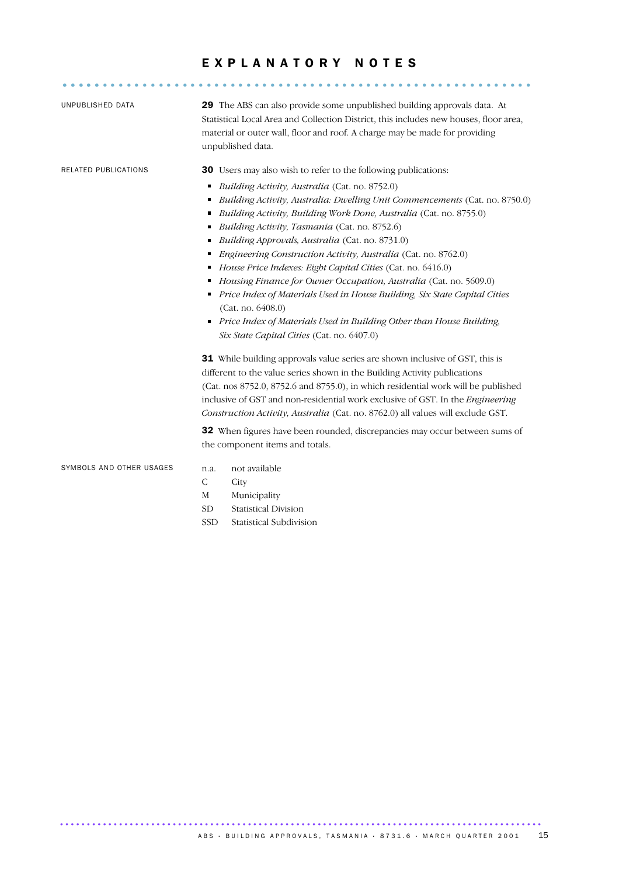### EXPLANATORY NOTES

........................................................... .....

| UNPUBLISHED DATA         |                                    | 29 The ABS can also provide some unpublished building approvals data. At<br>Statistical Local Area and Collection District, this includes new houses, floor area,<br>material or outer wall, floor and roof. A charge may be made for providing<br>unpublished data.                                                                                                                                                                                                                                                                                                                                                                                                                                                                                                                                           |
|--------------------------|------------------------------------|----------------------------------------------------------------------------------------------------------------------------------------------------------------------------------------------------------------------------------------------------------------------------------------------------------------------------------------------------------------------------------------------------------------------------------------------------------------------------------------------------------------------------------------------------------------------------------------------------------------------------------------------------------------------------------------------------------------------------------------------------------------------------------------------------------------|
| RELATED PUBLICATIONS     | п<br>٠<br>٠<br>٠<br>٠<br>٠         | <b>30</b> Users may also wish to refer to the following publications:<br>Building Activity, Australia (Cat. no. 8752.0)<br>Building Activity, Australia: Dwelling Unit Commencements (Cat. no. 8750.0)<br>Building Activity, Building Work Done, Australia (Cat. no. 8755.0)<br>Building Activity, Tasmania (Cat. no. 8752.6)<br>Building Approvals, Australia (Cat. no. 8731.0)<br>Engineering Construction Activity, Australia (Cat. no. 8762.0)<br>House Price Indexes: Eight Capital Cities (Cat. no. 6416.0)<br>Housing Finance for Owner Occupation, Australia (Cat. no. 5609.0)<br>Price Index of Materials Used in House Building, Six State Capital Cities<br>(Cat. no. 6408.0)<br>Price Index of Materials Used in Building Other than House Building,<br>Six State Capital Cities (Cat. no. 6407.0) |
|                          |                                    | <b>31</b> While building approvals value series are shown inclusive of GST, this is<br>different to the value series shown in the Building Activity publications<br>(Cat. nos 8752.0, 8752.6 and 8755.0), in which residential work will be published<br>inclusive of GST and non-residential work exclusive of GST. In the <i>Engineering</i><br>Construction Activity, Australia (Cat. no. 8762.0) all values will exclude GST.<br>32 When figures have been rounded, discrepancies may occur between sums of<br>the component items and totals.                                                                                                                                                                                                                                                             |
| SYMBOLS AND OTHER USAGES | n.a.<br>C<br>М<br>SD<br><b>SSD</b> | not available<br>City<br>Municipality<br><b>Statistical Division</b><br>Statistical Subdivision                                                                                                                                                                                                                                                                                                                                                                                                                                                                                                                                                                                                                                                                                                                |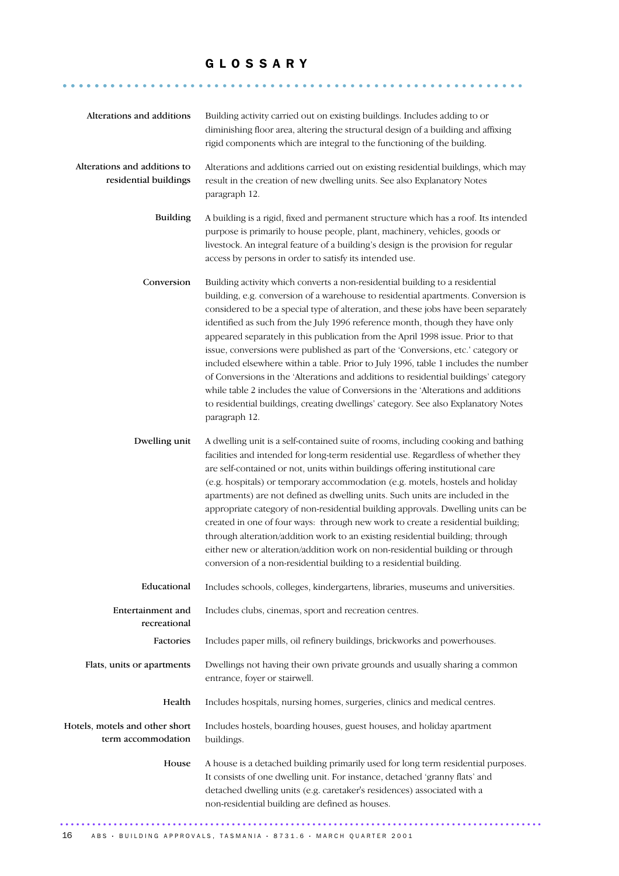### G L O S S A R Y

.......................................................... .......

| Alterations and additions                             | Building activity carried out on existing buildings. Includes adding to or<br>diminishing floor area, altering the structural design of a building and affixing<br>rigid components which are integral to the functioning of the building.                                                                                                                                                                                                                                                                                                                                                                                                                                                                                                                                                                                                                                               |
|-------------------------------------------------------|------------------------------------------------------------------------------------------------------------------------------------------------------------------------------------------------------------------------------------------------------------------------------------------------------------------------------------------------------------------------------------------------------------------------------------------------------------------------------------------------------------------------------------------------------------------------------------------------------------------------------------------------------------------------------------------------------------------------------------------------------------------------------------------------------------------------------------------------------------------------------------------|
| Alterations and additions to<br>residential buildings | Alterations and additions carried out on existing residential buildings, which may<br>result in the creation of new dwelling units. See also Explanatory Notes<br>paragraph 12.                                                                                                                                                                                                                                                                                                                                                                                                                                                                                                                                                                                                                                                                                                          |
| <b>Building</b>                                       | A building is a rigid, fixed and permanent structure which has a roof. Its intended<br>purpose is primarily to house people, plant, machinery, vehicles, goods or<br>livestock. An integral feature of a building's design is the provision for regular<br>access by persons in order to satisfy its intended use.                                                                                                                                                                                                                                                                                                                                                                                                                                                                                                                                                                       |
| Conversion                                            | Building activity which converts a non-residential building to a residential<br>building, e.g. conversion of a warehouse to residential apartments. Conversion is<br>considered to be a special type of alteration, and these jobs have been separately<br>identified as such from the July 1996 reference month, though they have only<br>appeared separately in this publication from the April 1998 issue. Prior to that<br>issue, conversions were published as part of the 'Conversions, etc.' category or<br>included elsewhere within a table. Prior to July 1996, table 1 includes the number<br>of Conversions in the 'Alterations and additions to residential buildings' category<br>while table 2 includes the value of Conversions in the 'Alterations and additions<br>to residential buildings, creating dwellings' category. See also Explanatory Notes<br>paragraph 12. |
| Dwelling unit                                         | A dwelling unit is a self-contained suite of rooms, including cooking and bathing<br>facilities and intended for long-term residential use. Regardless of whether they<br>are self-contained or not, units within buildings offering institutional care<br>(e.g. hospitals) or temporary accommodation (e.g. motels, hostels and holiday<br>apartments) are not defined as dwelling units. Such units are included in the<br>appropriate category of non-residential building approvals. Dwelling units can be<br>created in one of four ways: through new work to create a residential building;<br>through alteration/addition work to an existing residential building; through<br>either new or alteration/addition work on non-residential building or through<br>conversion of a non-residential building to a residential building.                                               |
| Educational                                           | Includes schools, colleges, kindergartens, libraries, museums and universities.                                                                                                                                                                                                                                                                                                                                                                                                                                                                                                                                                                                                                                                                                                                                                                                                          |
| Entertainment and<br>recreational                     | Includes clubs, cinemas, sport and recreation centres.                                                                                                                                                                                                                                                                                                                                                                                                                                                                                                                                                                                                                                                                                                                                                                                                                                   |
| Factories                                             | Includes paper mills, oil refinery buildings, brickworks and powerhouses.                                                                                                                                                                                                                                                                                                                                                                                                                                                                                                                                                                                                                                                                                                                                                                                                                |
| Flats, units or apartments                            | Dwellings not having their own private grounds and usually sharing a common<br>entrance, foyer or stairwell.                                                                                                                                                                                                                                                                                                                                                                                                                                                                                                                                                                                                                                                                                                                                                                             |
| Health                                                | Includes hospitals, nursing homes, surgeries, clinics and medical centres.                                                                                                                                                                                                                                                                                                                                                                                                                                                                                                                                                                                                                                                                                                                                                                                                               |
| Hotels, motels and other short<br>term accommodation  | Includes hostels, boarding houses, guest houses, and holiday apartment<br>buildings.                                                                                                                                                                                                                                                                                                                                                                                                                                                                                                                                                                                                                                                                                                                                                                                                     |
| House                                                 | A house is a detached building primarily used for long term residential purposes.<br>It consists of one dwelling unit. For instance, detached 'granny flats' and<br>detached dwelling units (e.g. caretaker's residences) associated with a<br>non-residential building are defined as houses.                                                                                                                                                                                                                                                                                                                                                                                                                                                                                                                                                                                           |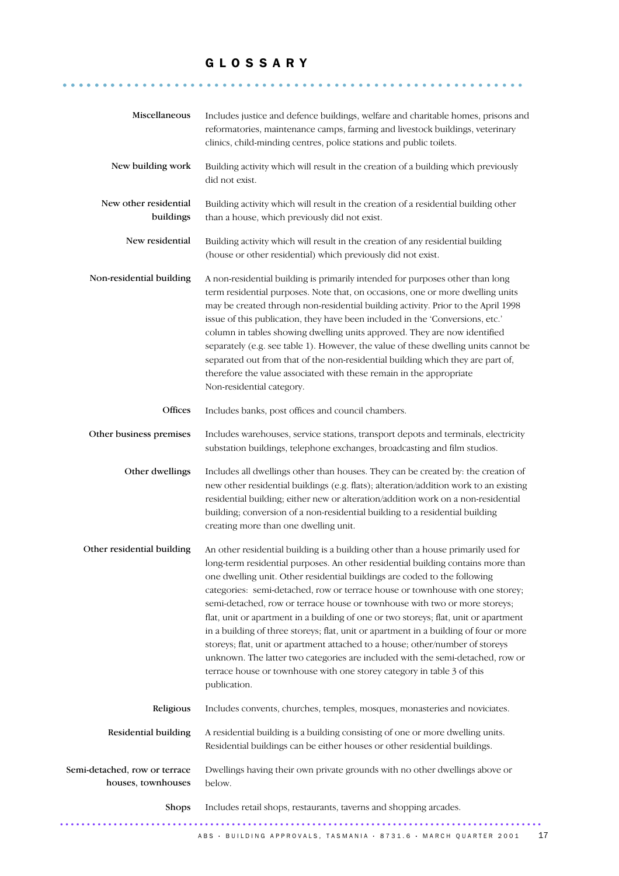### G L O S S A R Y

.......................................................... .......

| Miscellaneous                                       | Includes justice and defence buildings, welfare and charitable homes, prisons and<br>reformatories, maintenance camps, farming and livestock buildings, veterinary<br>clinics, child-minding centres, police stations and public toilets.                                                                                                                                                                                                                                                                                                                                                                                                                                                                                                                                                                                                                       |
|-----------------------------------------------------|-----------------------------------------------------------------------------------------------------------------------------------------------------------------------------------------------------------------------------------------------------------------------------------------------------------------------------------------------------------------------------------------------------------------------------------------------------------------------------------------------------------------------------------------------------------------------------------------------------------------------------------------------------------------------------------------------------------------------------------------------------------------------------------------------------------------------------------------------------------------|
| New building work                                   | Building activity which will result in the creation of a building which previously<br>did not exist.                                                                                                                                                                                                                                                                                                                                                                                                                                                                                                                                                                                                                                                                                                                                                            |
| New other residential<br>buildings                  | Building activity which will result in the creation of a residential building other<br>than a house, which previously did not exist.                                                                                                                                                                                                                                                                                                                                                                                                                                                                                                                                                                                                                                                                                                                            |
| New residential                                     | Building activity which will result in the creation of any residential building<br>(house or other residential) which previously did not exist.                                                                                                                                                                                                                                                                                                                                                                                                                                                                                                                                                                                                                                                                                                                 |
| Non-residential building                            | A non-residential building is primarily intended for purposes other than long<br>term residential purposes. Note that, on occasions, one or more dwelling units<br>may be created through non-residential building activity. Prior to the April 1998<br>issue of this publication, they have been included in the 'Conversions, etc.'<br>column in tables showing dwelling units approved. They are now identified<br>separately (e.g. see table 1). However, the value of these dwelling units cannot be<br>separated out from that of the non-residential building which they are part of,<br>therefore the value associated with these remain in the appropriate<br>Non-residential category.                                                                                                                                                                |
| Offices                                             | Includes banks, post offices and council chambers.                                                                                                                                                                                                                                                                                                                                                                                                                                                                                                                                                                                                                                                                                                                                                                                                              |
| Other business premises                             | Includes warehouses, service stations, transport depots and terminals, electricity<br>substation buildings, telephone exchanges, broadcasting and film studios.                                                                                                                                                                                                                                                                                                                                                                                                                                                                                                                                                                                                                                                                                                 |
| Other dwellings                                     | Includes all dwellings other than houses. They can be created by: the creation of<br>new other residential buildings (e.g. flats); alteration/addition work to an existing<br>residential building; either new or alteration/addition work on a non-residential<br>building; conversion of a non-residential building to a residential building<br>creating more than one dwelling unit.                                                                                                                                                                                                                                                                                                                                                                                                                                                                        |
| Other residential building                          | An other residential building is a building other than a house primarily used for<br>long-term residential purposes. An other residential building contains more than<br>one dwelling unit. Other residential buildings are coded to the following<br>categories: semi-detached, row or terrace house or townhouse with one storey;<br>semi-detached, row or terrace house or townhouse with two or more storeys;<br>flat, unit or apartment in a building of one or two storeys; flat, unit or apartment<br>in a building of three storeys; flat, unit or apartment in a building of four or more<br>storeys; flat, unit or apartment attached to a house; other/number of storeys<br>unknown. The latter two categories are included with the semi-detached, row or<br>terrace house or townhouse with one storey category in table 3 of this<br>publication. |
| Religious                                           | Includes convents, churches, temples, mosques, monasteries and noviciates.                                                                                                                                                                                                                                                                                                                                                                                                                                                                                                                                                                                                                                                                                                                                                                                      |
| Residential building                                | A residential building is a building consisting of one or more dwelling units.<br>Residential buildings can be either houses or other residential buildings.                                                                                                                                                                                                                                                                                                                                                                                                                                                                                                                                                                                                                                                                                                    |
| Semi-detached, row or terrace<br>houses, townhouses | Dwellings having their own private grounds with no other dwellings above or<br>below.                                                                                                                                                                                                                                                                                                                                                                                                                                                                                                                                                                                                                                                                                                                                                                           |
| Shops                                               | Includes retail shops, restaurants, taverns and shopping arcades.                                                                                                                                                                                                                                                                                                                                                                                                                                                                                                                                                                                                                                                                                                                                                                                               |
|                                                     | ABS · BUILDING APPROVALS, TASMANIA · 8731.6 · MARCH QUARTER 2001<br>17                                                                                                                                                                                                                                                                                                                                                                                                                                                                                                                                                                                                                                                                                                                                                                                          |